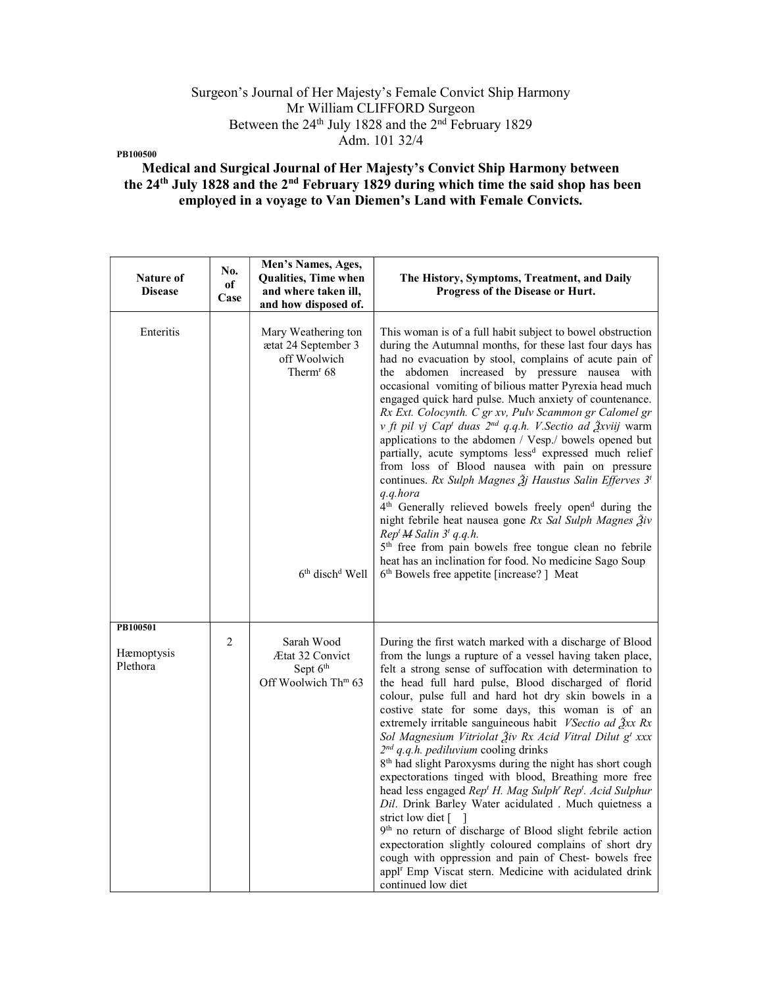## Surgeon's Journal of Her Majesty's Female Convict Ship Harmony Mr William CLIFFORD Surgeon Between the 24<sup>th</sup> July 1828 and the 2<sup>nd</sup> February 1829 Adm. 101 32/4

PB100500

# Medical and Surgical Journal of Her Majesty's Convict Ship Harmony between the 24th July 1828 and the 2nd February 1829 during which time the said shop has been employed in a voyage to Van Diemen's Land with Female Convicts.

| <b>Nature of</b><br><b>Disease</b> | No.<br>of<br>Case | Men's Names, Ages,<br><b>Qualities, Time when</b><br>and where taken ill,<br>and how disposed of.                              | The History, Symptoms, Treatment, and Daily<br>Progress of the Disease or Hurt.                                                                                                                                                                                                                                                                                                                                                                                                                                                                                                                                                                                                                                                                                                                                                                                                                                                                                                                                                                                                                                                                                                |
|------------------------------------|-------------------|--------------------------------------------------------------------------------------------------------------------------------|--------------------------------------------------------------------------------------------------------------------------------------------------------------------------------------------------------------------------------------------------------------------------------------------------------------------------------------------------------------------------------------------------------------------------------------------------------------------------------------------------------------------------------------------------------------------------------------------------------------------------------------------------------------------------------------------------------------------------------------------------------------------------------------------------------------------------------------------------------------------------------------------------------------------------------------------------------------------------------------------------------------------------------------------------------------------------------------------------------------------------------------------------------------------------------|
| Enteritis                          |                   | Mary Weathering ton<br>ætat 24 September 3<br>off Woolwich<br>Therm <sup>r</sup> 68<br>6 <sup>th</sup> disch <sup>d</sup> Well | This woman is of a full habit subject to bowel obstruction<br>during the Autumnal months, for these last four days has<br>had no evacuation by stool, complains of acute pain of<br>the abdomen increased by pressure nausea with<br>occasional vomiting of bilious matter Pyrexia head much<br>engaged quick hard pulse. Much anxiety of countenance.<br>Rx Ext. Colocynth. C gr xv, Pulv Scammon gr Calomel gr<br>v ft pil vj Cap <sup>t</sup> duas 2 <sup>nd</sup> q.q.h. V.Sectio ad Žxviij warm<br>applications to the abdomen / Vesp./ bowels opened but<br>partially, acute symptoms less <sup>d</sup> expressed much relief<br>from loss of Blood nausea with pain on pressure<br>continues. Rx Sulph Magnes $\tilde{\jmath}$ Haustus Salin Efferves 3 <sup>t</sup><br>q.q.hora<br>4 <sup>th</sup> Generally relieved bowels freely open <sup>d</sup> during the<br>night febrile heat nausea gone Rx Sal Sulph Magnes Živ<br>Rep <sup>t</sup> M Salin 3 <sup>t</sup> q.q.h.<br>5 <sup>th</sup> free from pain bowels free tongue clean no febrile<br>heat has an inclination for food. No medicine Sago Soup<br>6 <sup>th</sup> Bowels free appetite [increase?] Meat |
| PB100501<br>Hæmoptysis<br>Plethora | 2                 | Sarah Wood<br>Ætat 32 Convict<br>Sept 6 <sup>th</sup><br>Off Woolwich Th <sup>m</sup> 63                                       | During the first watch marked with a discharge of Blood<br>from the lungs a rupture of a vessel having taken place,<br>felt a strong sense of suffocation with determination to<br>the head full hard pulse, Blood discharged of florid<br>colour, pulse full and hard hot dry skin bowels in a<br>costive state for some days, this woman is of an<br>extremely irritable sanguineous habit VSectio ad Žxx Rx<br>Sol Magnesium Vitriolat Živ Rx Acid Vitral Dilut g <sup>t</sup> xxx<br>$2^{nd}$ q.q.h. pediluvium cooling drinks<br>8 <sup>th</sup> had slight Paroxysms during the night has short cough<br>expectorations tinged with blood, Breathing more free<br>head less engaged Rep <sup>t</sup> H. Mag Sulph <sup>r</sup> Rep <sup>t</sup> . Acid Sulphur<br>Dil. Drink Barley Water acidulated . Much quietness a<br>strict low diet $\lceil \quad \rceil$<br>9 <sup>th</sup> no return of discharge of Blood slight febrile action<br>expectoration slightly coloured complains of short dry<br>cough with oppression and pain of Chest- bowels free<br>appl <sup>r</sup> Emp Viscat stern. Medicine with acidulated drink<br>continued low diet                  |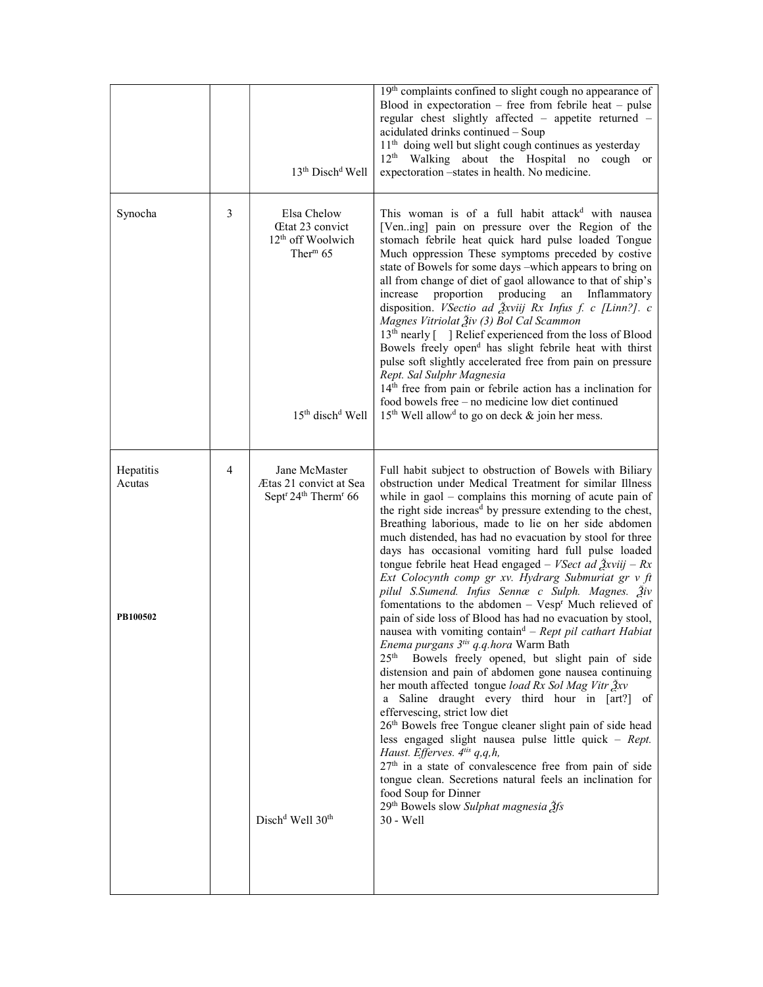|                                 |   | 13 <sup>th</sup> Disch <sup>d</sup> Well                                                                                                        | 19th complaints confined to slight cough no appearance of<br>Blood in expectoration – free from febrile heat – pulse<br>regular chest slightly affected - appetite returned -<br>acidulated drinks continued - Soup<br>11 <sup>th</sup> doing well but slight cough continues as yesterday<br>12 <sup>th</sup> Walking about the Hospital no cough or<br>expectoration -states in health. No medicine.                                                                                                                                                                                                                                                                                                                                                                                                                                                                                                                                                                                                                                                                                                                                                                                                                                                                                                                                                                                                                                                                                                                                                                               |
|---------------------------------|---|-------------------------------------------------------------------------------------------------------------------------------------------------|--------------------------------------------------------------------------------------------------------------------------------------------------------------------------------------------------------------------------------------------------------------------------------------------------------------------------------------------------------------------------------------------------------------------------------------------------------------------------------------------------------------------------------------------------------------------------------------------------------------------------------------------------------------------------------------------------------------------------------------------------------------------------------------------------------------------------------------------------------------------------------------------------------------------------------------------------------------------------------------------------------------------------------------------------------------------------------------------------------------------------------------------------------------------------------------------------------------------------------------------------------------------------------------------------------------------------------------------------------------------------------------------------------------------------------------------------------------------------------------------------------------------------------------------------------------------------------------|
| Synocha                         | 3 | Elsa Chelow<br><b>Etat 23 convict</b><br>12 <sup>th</sup> off Woolwich<br>Ther <sup>m</sup> $65$<br>15 <sup>th</sup> disch <sup>d</sup> Well    | This woman is of a full habit attack <sup>d</sup> with nausea<br>[Vening] pain on pressure over the Region of the<br>stomach febrile heat quick hard pulse loaded Tongue<br>Much oppression These symptoms preceded by costive<br>state of Bowels for some days -which appears to bring on<br>all from change of diet of gaol allowance to that of ship's<br>proportion producing<br>Inflammatory<br>increase<br>an<br>disposition. <i>VSectio ad Ѯxviij Rx Infus f. c [Linn?]. c</i><br>Magnes Vitriolat Živ (3) Bol Cal Scammon<br>13 <sup>th</sup> nearly [ ] Relief experienced from the loss of Blood<br>Bowels freely open <sup>d</sup> has slight febrile heat with thirst<br>pulse soft slightly accelerated free from pain on pressure<br>Rept. Sal Sulphr Magnesia<br>14 <sup>th</sup> free from pain or febrile action has a inclination for<br>food bowels free - no medicine low diet continued<br>$15th$ Well allow <sup>d</sup> to go on deck & join her mess.                                                                                                                                                                                                                                                                                                                                                                                                                                                                                                                                                                                                        |
| Hepatitis<br>Acutas<br>PB100502 | 4 | Jane McMaster<br>Ætas 21 convict at Sea<br>Sept <sup>r</sup> 24 <sup>th</sup> Therm <sup>r</sup> 66<br>Disch <sup>d</sup> Well 30 <sup>th</sup> | Full habit subject to obstruction of Bowels with Biliary<br>obstruction under Medical Treatment for similar Illness<br>while in $\text{gaoI}$ – complains this morning of acute pain of<br>the right side increas <sup>d</sup> by pressure extending to the chest,<br>Breathing laborious, made to lie on her side abdomen<br>much distended, has had no evacuation by stool for three<br>days has occasional vomiting hard full pulse loaded<br>tongue febrile heat Head engaged – <i>VSect ad <math>\frac{3}{2}</math>xviij</i> – $Rx$<br>Ext Colocynth comp gr xv. Hydrarg Submuriat gr v ft<br>pilul S.Sumend. Infus Sennæ c Sulph. Magnes. Živ<br>fomentations to the abdomen - Vesp <sup>r</sup> Much relieved of<br>pain of side loss of Blood has had no evacuation by stool,<br>nausea with vomiting contain <sup>d</sup> – Rept pil cathart Habiat<br><i>Enema purgans 3<sup>tis</sup> q.q.hora</i> Warm Bath<br>25 <sup>th</sup><br>Bowels freely opened, but slight pain of side<br>distension and pain of abdomen gone nausea continuing<br>her mouth affected tongue load Rx Sol Mag Vitr Žxv<br>a Saline draught every third hour in [art?] of<br>effervescing, strict low diet<br>26th Bowels free Tongue cleaner slight pain of side head<br>less engaged slight nausea pulse little quick - $Rept$ .<br>Haust. Efferves. 4tis q,q,h,<br>27 <sup>th</sup> in a state of convalescence free from pain of side<br>tongue clean. Secretions natural feels an inclination for<br>food Soup for Dinner<br>29 <sup>th</sup> Bowels slow Sulphat magnesia 3fs<br>30 - Well |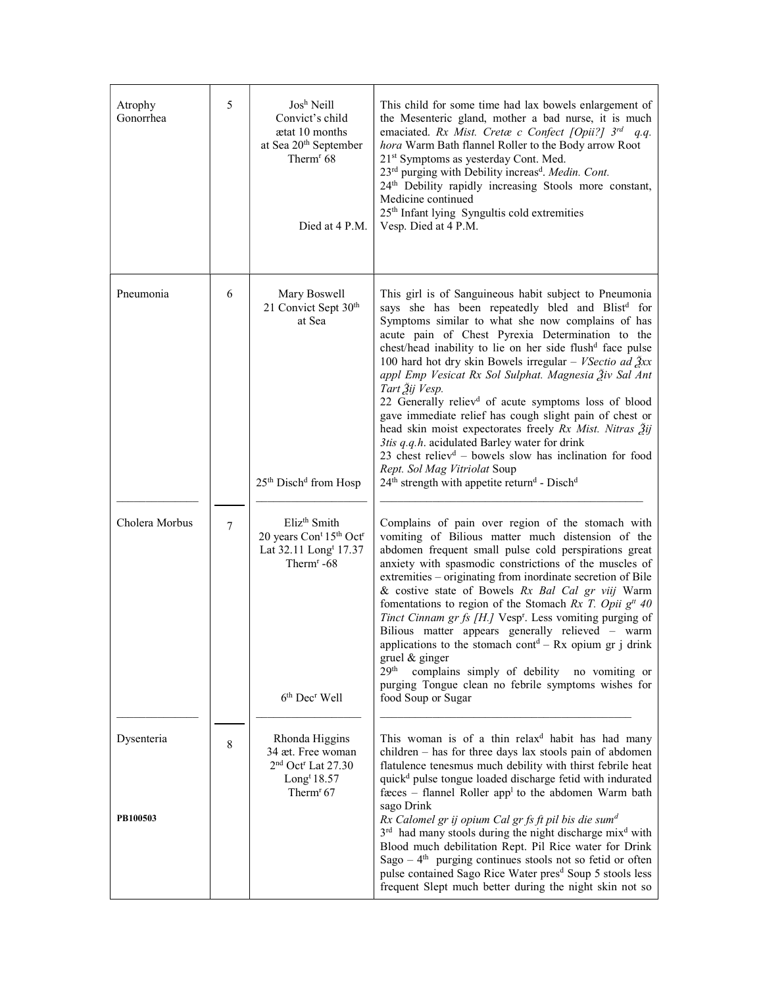| Atrophy<br>Gonorrhea   | 5           | Josh Neill<br>Convict's child<br>atat 10 months<br>at Sea 20 <sup>th</sup> September<br>Therm <sup>r</sup> 68<br>Died at 4 P.M.                                                                 | This child for some time had lax bowels enlargement of<br>the Mesenteric gland, mother a bad nurse, it is much<br>emaciated. Rx Mist. Cretæ c Confect [Opii?] $3^{rd}$ q.q.<br>hora Warm Bath flannel Roller to the Body arrow Root<br>21 <sup>st</sup> Symptoms as yesterday Cont. Med.<br>23 <sup>rd</sup> purging with Debility increas <sup>d</sup> . Medin. Cont.<br>24 <sup>th</sup> Debility rapidly increasing Stools more constant,<br>Medicine continued<br>25 <sup>th</sup> Infant lying Syngultis cold extremities<br>Vesp. Died at 4 P.M.                                                                                                                                                                                                                                                                                                                                            |
|------------------------|-------------|-------------------------------------------------------------------------------------------------------------------------------------------------------------------------------------------------|---------------------------------------------------------------------------------------------------------------------------------------------------------------------------------------------------------------------------------------------------------------------------------------------------------------------------------------------------------------------------------------------------------------------------------------------------------------------------------------------------------------------------------------------------------------------------------------------------------------------------------------------------------------------------------------------------------------------------------------------------------------------------------------------------------------------------------------------------------------------------------------------------|
| Pneumonia              | 6           | Mary Boswell<br>21 Convict Sept 30th<br>at Sea<br>25 <sup>th</sup> Disch <sup>d</sup> from Hosp                                                                                                 | This girl is of Sanguineous habit subject to Pneumonia<br>says she has been repeatedly bled and Blist <sup>d</sup> for<br>Symptoms similar to what she now complains of has<br>acute pain of Chest Pyrexia Determination to the<br>chest/head inability to lie on her side flush <sup>d</sup> face pulse<br>100 hard hot dry skin Bowels irregular - V Sectio ad $\frac{3}{2}xx$<br>appl Emp Vesicat Rx Sol Sulphat. Magnesia Živ Sal Ant<br>Tart Žij Vesp.<br>22 Generally reliev <sup>d</sup> of acute symptoms loss of blood<br>gave immediate relief has cough slight pain of chest or<br>head skin moist expectorates freely Rx Mist. Nitras 3ij<br>3tis q.q.h. acidulated Barley water for drink<br>23 chest reliev <sup>d</sup> - bowels slow has inclination for food<br>Rept. Sol Mag Vitriolat Soup<br>24 <sup>th</sup> strength with appetite return <sup>d</sup> - Disch <sup>d</sup> |
| Cholera Morbus         | 7           | Eliz <sup>th</sup> Smith<br>20 years Con <sup>t</sup> 15 <sup>th</sup> Oct <sup>r</sup><br>Lat 32.11 Long <sup>t</sup> 17.37<br>Therm <sup>r</sup> -68<br>6 <sup>th</sup> Dec <sup>r</sup> Well | Complains of pain over region of the stomach with<br>vomiting of Bilious matter much distension of the<br>abdomen frequent small pulse cold perspirations great<br>anxiety with spasmodic constrictions of the muscles of<br>extremities – originating from inordinate secretion of Bile<br>& costive state of Bowels Rx Bal Cal gr viij Warm<br>fomentations to region of the Stomach Rx T. Opii $gtt$ 40<br>Tinct Cinnam gr fs [H.] Vesp <sup>r</sup> . Less vomiting purging of<br>Bilious matter appears generally relieved - warm<br>applications to the stomach cont <sup>d</sup> – Rx opium gr j drink<br>gruel & ginger<br>29 <sup>th</sup><br>complains simply of debility no vomiting or<br>purging Tongue clean no febrile symptoms wishes for<br>food Soup or Sugar                                                                                                                   |
| Dysenteria<br>PB100503 | $\,$ 8 $\,$ | Rhonda Higgins<br>34 æt. Free woman<br>2 <sup>nd</sup> Oct <sup>r</sup> Lat 27.30<br>Long <sup>t</sup> $18.57$<br>Therm <sup><math>r</math></sup> 67                                            | This woman is of a thin relax <sup>d</sup> habit has had many<br>children - has for three days lax stools pain of abdomen<br>flatulence tenesmus much debility with thirst febrile heat<br>quick <sup>d</sup> pulse tongue loaded discharge fetid with indurated<br>fæces – flannel Roller app <sup>1</sup> to the abdomen Warm bath<br>sago Drink<br>Rx Calomel gr ij opium Cal gr fs ft pil bis die sum <sup>d</sup><br>3 <sup>rd</sup> had many stools during the night discharge mix <sup>d</sup> with<br>Blood much debilitation Rept. Pil Rice water for Drink<br>Sago $-4$ <sup>th</sup> purging continues stools not so fetid or often<br>pulse contained Sago Rice Water pres <sup>d</sup> Soup 5 stools less<br>frequent Slept much better during the night skin not so                                                                                                                 |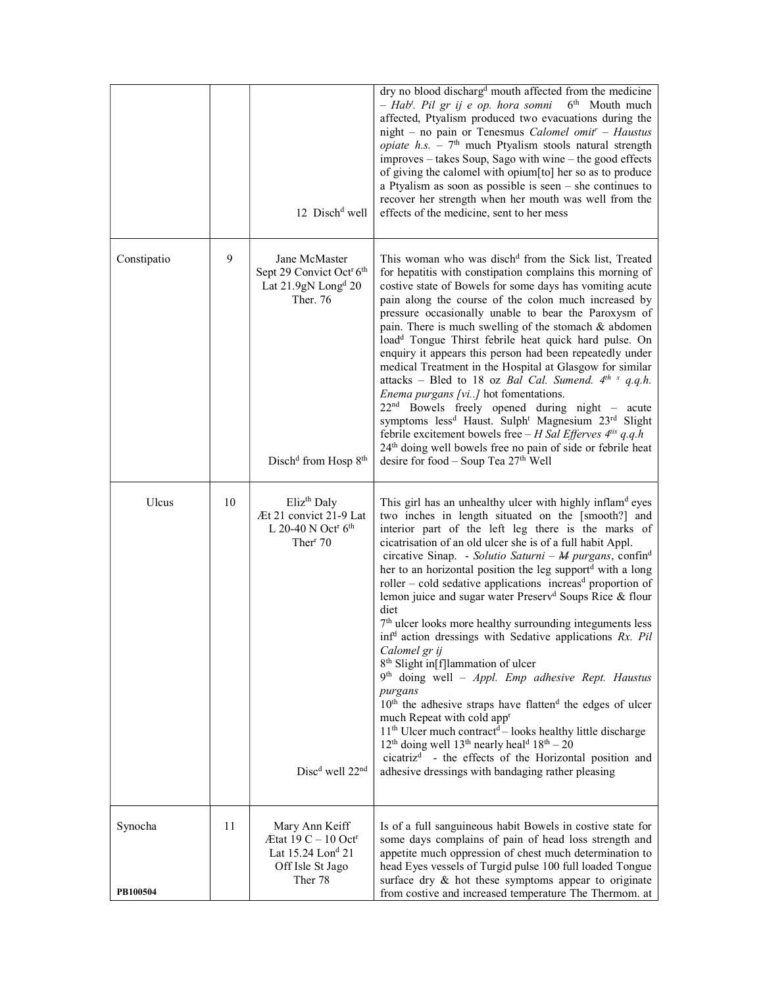|                     |    | 12 Disch <sup>d</sup> well                                                                                                                                       | dry no blood discharg <sup>d</sup> mouth affected from the medicine<br>- Hab'. Pil gr ij e op. hora somni 6 <sup>th</sup> Mouth much<br>affected, Ptyalism produced two evacuations during the<br>night - no pain or Tenesmus Calomel omit <sup>r</sup> - Haustus<br><i>opiate h.s.</i> - $7th$ much Ptyalism stools natural strength<br>improves – takes Soup, Sago with wine – the good effects<br>of giving the calomel with opium[to] her so as to produce<br>a Ptyalism as soon as possible is seen $-$ she continues to<br>recover her strength when her mouth was well from the<br>effects of the medicine, sent to her mess                                                                                                                                                                                                                                                                                                                                                                                                                                                                                                                                                                                                       |
|---------------------|----|------------------------------------------------------------------------------------------------------------------------------------------------------------------|-------------------------------------------------------------------------------------------------------------------------------------------------------------------------------------------------------------------------------------------------------------------------------------------------------------------------------------------------------------------------------------------------------------------------------------------------------------------------------------------------------------------------------------------------------------------------------------------------------------------------------------------------------------------------------------------------------------------------------------------------------------------------------------------------------------------------------------------------------------------------------------------------------------------------------------------------------------------------------------------------------------------------------------------------------------------------------------------------------------------------------------------------------------------------------------------------------------------------------------------|
| Constipatio         | 9  | Jane McMaster<br>Sept 29 Convict Oct <sup>r</sup> 6 <sup>th</sup><br>Lat 21.9gN Long <sup>d</sup> 20<br>Ther. 76<br>Disch <sup>d</sup> from Hosp 8 <sup>th</sup> | This woman who was disch <sup>d</sup> from the Sick list, Treated<br>for hepatitis with constipation complains this morning of<br>costive state of Bowels for some days has vomiting acute<br>pain along the course of the colon much increased by<br>pressure occasionally unable to bear the Paroxysm of<br>pain. There is much swelling of the stomach & abdomen<br>load <sup>d</sup> Tongue Thirst febrile heat quick hard pulse. On<br>enquiry it appears this person had been repeatedly under<br>medical Treatment in the Hospital at Glasgow for similar<br>attacks – Bled to 18 oz <i>Bal Cal. Sumend.</i> $4^{th}$ s q.q.h.<br>Enema purgans [vi] hot fomentations.<br>22 <sup>nd</sup> Bowels freely opened during night - acute<br>symptoms less <sup>d</sup> Haust. Sulph <sup>t</sup> Magnesium 23 <sup>rd</sup> Slight<br>febrile excitement bowels free $-H$ Sal Efferves $4^{t}$ is q.q.h<br>24 <sup>th</sup> doing well bowels free no pain of side or febrile heat<br>desire for food - Soup Tea 27th Well                                                                                                                                                                                                             |
| Ulcus               | 10 | Eliz <sup>th</sup> Daly<br>Æt 21 convict 21-9 Lat<br>L 20-40 N Oct <sup>r</sup> $6th$<br>Ther <sup>r</sup> 70<br>Disc <sup>d</sup> well 22 <sup>nd</sup>         | This girl has an unhealthy ulcer with highly inflam <sup>d</sup> eyes<br>two inches in length situated on the [smooth?] and<br>interior part of the left leg there is the marks of<br>cicatrisation of an old ulcer she is of a full habit Appl.<br>circative Sinap. - Solutio Saturni – M purgans, confin <sup>d</sup><br>her to an horizontal position the leg supportd with a long<br>roller – cold sedative applications increas <sup>d</sup> proportion of<br>lemon juice and sugar water Preserv <sup>d</sup> Soups Rice & flour<br>diet<br>7 <sup>th</sup> ulcer looks more healthy surrounding integuments less<br>inf <sup>d</sup> action dressings with Sedative applications Rx. Pil<br>Calomel gr ij<br>8 <sup>th</sup> Slight in[f]lammation of ulcer<br>9th doing well - Appl. Emp adhesive Rept. Haustus<br>purgans<br>10 <sup>th</sup> the adhesive straps have flatten <sup>d</sup> the edges of ulcer<br>much Repeat with cold app <sup>r</sup><br>$11th$ Ulcer much contract <sup>d</sup> – looks healthy little discharge<br>$12th$ doing well $13th$ nearly heal <sup>d</sup> $18th - 20$<br>cicatriz <sup>d</sup> - the effects of the Horizontal position and<br>adhesive dressings with bandaging rather pleasing |
| Synocha<br>PB100504 | 11 | Mary Ann Keiff<br>$\text{Et}$ at 19 C – 10 Oct <sup>r</sup><br>Lat 15.24 Lon <sup>d</sup> 21<br>Off Isle St Jago<br>Ther 78                                      | Is of a full sanguineous habit Bowels in costive state for<br>some days complains of pain of head loss strength and<br>appetite much oppression of chest much determination to<br>head Eyes vessels of Turgid pulse 100 full loaded Tongue<br>surface dry & hot these symptoms appear to originate<br>from costive and increased temperature The Thermom. at                                                                                                                                                                                                                                                                                                                                                                                                                                                                                                                                                                                                                                                                                                                                                                                                                                                                              |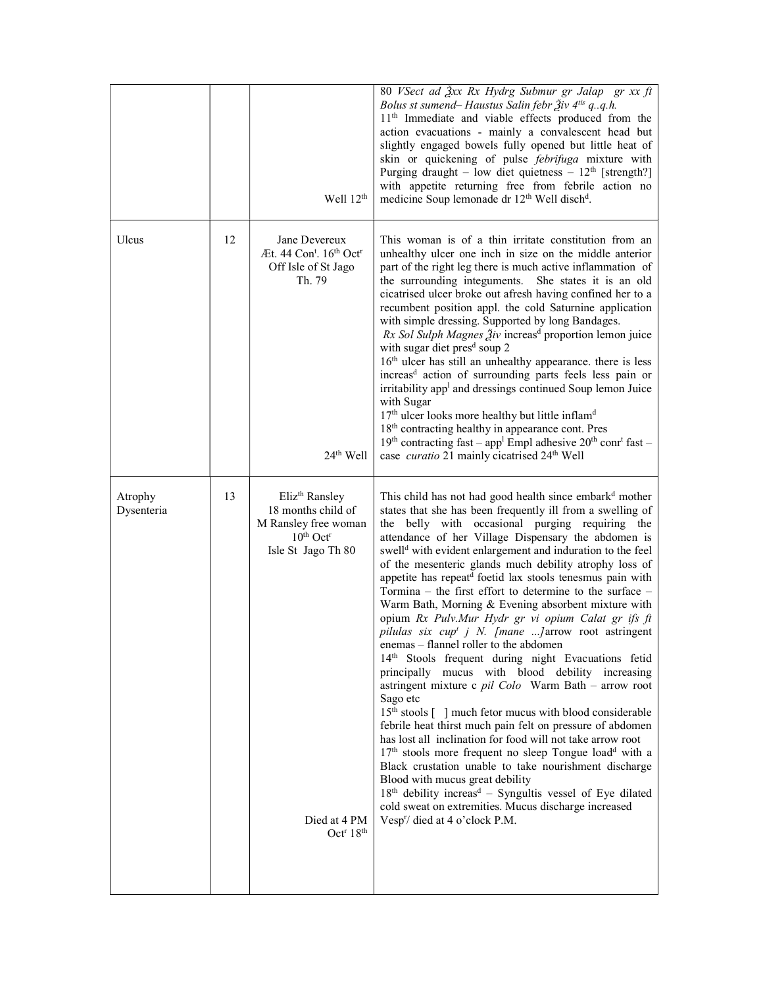|                       |    | Well 12 <sup>th</sup>                                                                                                                                                          | 80 VSect ad $\frac{3}{2}xx$ Rx Hydrg Submur gr Jalap gr xx ft<br>Bolus st sumend– Haustus Salin febr Živ 4 <sup>tis</sup> q., q.h.<br>11 <sup>th</sup> Immediate and viable effects produced from the<br>action evacuations - mainly a convalescent head but<br>slightly engaged bowels fully opened but little heat of<br>skin or quickening of pulse <i>febrifuga</i> mixture with<br>Purging draught – low diet quietness – $12th$ [strength?]<br>with appetite returning free from febrile action no<br>medicine Soup lemonade dr 12 <sup>th</sup> Well disch <sup>d</sup> .                                                                                                                                                                                                                                                                                                                                                                                                                                                                                                                                                                                                                                                                                                                                                                                                                                                                                                |
|-----------------------|----|--------------------------------------------------------------------------------------------------------------------------------------------------------------------------------|---------------------------------------------------------------------------------------------------------------------------------------------------------------------------------------------------------------------------------------------------------------------------------------------------------------------------------------------------------------------------------------------------------------------------------------------------------------------------------------------------------------------------------------------------------------------------------------------------------------------------------------------------------------------------------------------------------------------------------------------------------------------------------------------------------------------------------------------------------------------------------------------------------------------------------------------------------------------------------------------------------------------------------------------------------------------------------------------------------------------------------------------------------------------------------------------------------------------------------------------------------------------------------------------------------------------------------------------------------------------------------------------------------------------------------------------------------------------------------|
| Ulcus                 | 12 | Jane Devereux<br>Æt. 44 $Cont$ . 16 <sup>th</sup> Oct <sup>r</sup><br>Off Isle of St Jago<br>Th. 79<br>$24th$ Well                                                             | This woman is of a thin irritate constitution from an<br>unhealthy ulcer one inch in size on the middle anterior<br>part of the right leg there is much active inflammation of<br>the surrounding integuments. She states it is an old<br>cicatrised ulcer broke out afresh having confined her to a<br>recumbent position appl. the cold Saturnine application<br>with simple dressing. Supported by long Bandages.<br>Rx Sol Sulph Magnes Živ increas <sup>d</sup> proportion lemon juice<br>with sugar diet pres <sup>d</sup> soup 2<br>16 <sup>th</sup> ulcer has still an unhealthy appearance. there is less<br>increas <sup>d</sup> action of surrounding parts feels less pain or<br>irritability app <sup>1</sup> and dressings continued Soup lemon Juice<br>with Sugar<br>17 <sup>th</sup> ulcer looks more healthy but little inflam <sup>d</sup><br>18 <sup>th</sup> contracting healthy in appearance cont. Pres<br>$19th$ contracting fast – app <sup>1</sup> Empl adhesive $20th$ conr <sup>t</sup> fast –<br>case <i>curatio</i> 21 mainly cicatrised 24 <sup>th</sup> Well                                                                                                                                                                                                                                                                                                                                                                                    |
| Atrophy<br>Dysenteria | 13 | Eliz <sup>th</sup> Ransley<br>18 months child of<br>M Ransley free woman<br>$10th$ Oct <sup>r</sup><br>Isle St Jago Th 80<br>Died at 4 PM<br>Oct <sup>r</sup> 18 <sup>th</sup> | This child has not had good health since embark <sup>d</sup> mother<br>states that she has been frequently ill from a swelling of<br>the belly with occasional purging requiring the<br>attendance of her Village Dispensary the abdomen is<br>swell <sup>d</sup> with evident enlargement and induration to the feel<br>of the mesenteric glands much debility atrophy loss of<br>appetite has repeatd foetid lax stools tenesmus pain with<br>Tormina – the first effort to determine to the surface –<br>Warm Bath, Morning & Evening absorbent mixture with<br>opium Rx Pulv.Mur Hydr gr vi opium Calat gr ifs ft<br>pilulas six cup <sup>t</sup> j N. [mane ] arrow root astringent<br>enemas - flannel roller to the abdomen<br>14th Stools frequent during night Evacuations fetid<br>principally mucus with blood debility increasing<br>astringent mixture c pil Colo Warm Bath - arrow root<br>Sago etc<br>15 <sup>th</sup> stools [] much fetor mucus with blood considerable<br>febrile heat thirst much pain felt on pressure of abdomen<br>has lost all inclination for food will not take arrow root<br>17 <sup>th</sup> stools more frequent no sleep Tongue load <sup>d</sup> with a<br>Black crustation unable to take nourishment discharge<br>Blood with mucus great debility<br>18th debility increas <sup>d</sup> - Syngultis vessel of Eye dilated<br>cold sweat on extremities. Mucus discharge increased<br>Vesp <sup>r</sup> / died at 4 o'clock P.M. |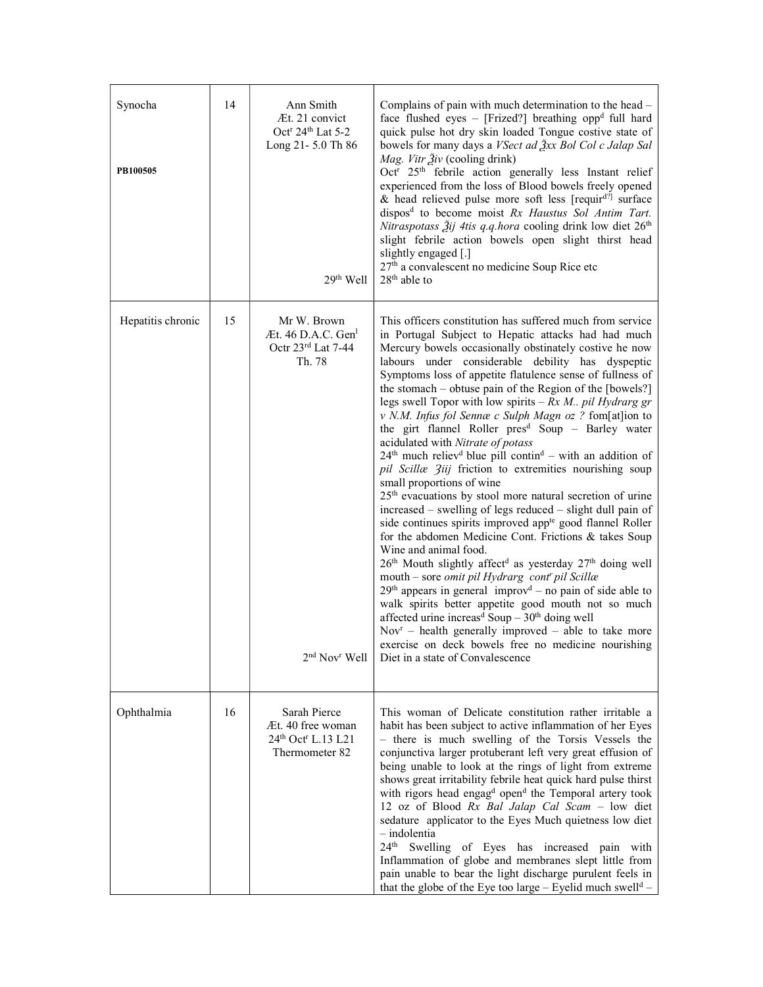| Synocha<br>PB100505 | 14 | Ann Smith<br>Æt. 21 convict<br>Oct <sup>r</sup> 24 <sup>th</sup> Lat 5-2<br>Long 21-5.0 Th 86<br>29 <sup>th</sup> Well   | Complains of pain with much determination to the head -<br>face flushed eyes - [Frized?] breathing opp <sup>d</sup> full hard<br>quick pulse hot dry skin loaded Tongue costive state of<br>bowels for many days a VSect ad $\frac{3}{2}xx$ Bol Col c Jalap Sal<br>Mag. Vitr Živ (cooling drink)<br>Oct <sup>r</sup> 25 <sup>th</sup> febrile action generally less Instant relief<br>experienced from the loss of Blood bowels freely opened<br>& head relieved pulse more soft less [requir <sup>d?]</sup> surface<br>dispos <sup>d</sup> to become moist Rx Haustus Sol Antim Tart.<br>Nitraspotass $\tilde{Z}$ ij 4tis q.q.hora cooling drink low diet 26 <sup>th</sup><br>slight febrile action bowels open slight thirst head<br>slightly engaged [.]<br>27 <sup>th</sup> a convalescent no medicine Soup Rice etc<br>$28th$ able to                                                                                                                                                                                                                                                                                                                                                                                                                                                                                                                                                                                                                                                                                                                                    |
|---------------------|----|--------------------------------------------------------------------------------------------------------------------------|-------------------------------------------------------------------------------------------------------------------------------------------------------------------------------------------------------------------------------------------------------------------------------------------------------------------------------------------------------------------------------------------------------------------------------------------------------------------------------------------------------------------------------------------------------------------------------------------------------------------------------------------------------------------------------------------------------------------------------------------------------------------------------------------------------------------------------------------------------------------------------------------------------------------------------------------------------------------------------------------------------------------------------------------------------------------------------------------------------------------------------------------------------------------------------------------------------------------------------------------------------------------------------------------------------------------------------------------------------------------------------------------------------------------------------------------------------------------------------------------------------------------------------------------------------------------------------|
| Hepatitis chronic   | 15 | Mr W. Brown<br>$At. 46$ D.A.C. Gen <sup>1</sup><br>Octr 23rd Lat 7-44<br>Th. 78<br>2 <sup>nd</sup> Nov <sup>r</sup> Well | This officers constitution has suffered much from service<br>in Portugal Subject to Hepatic attacks had had much<br>Mercury bowels occasionally obstinately costive he now<br>labours under considerable debility has dyspeptic<br>Symptoms loss of appetite flatulence sense of fullness of<br>the stomach – obtuse pain of the Region of the [bowels?]<br>legs swell Topor with low spirits $-Rx M$ pil Hydrarg gr<br>v N.M. Infus fol Sennæ c Sulph Magn oz ? fom[at]ion to<br>the girt flannel Roller pres <sup>d</sup> Soup - Barley water<br>acidulated with Nitrate of potass<br>$24th$ much reliev <sup>d</sup> blue pill contin <sup>d</sup> – with an addition of<br>pil Scillæ Ziij friction to extremities nourishing soup<br>small proportions of wine<br>25 <sup>th</sup> evacuations by stool more natural secretion of urine<br>increased – swelling of legs reduced – slight dull pain of<br>side continues spirits improved app <sup>te</sup> good flannel Roller<br>for the abdomen Medicine Cont. Frictions & takes Soup<br>Wine and animal food.<br>26 <sup>th</sup> Mouth slightly affect <sup>d</sup> as yesterday 27 <sup>th</sup> doing well<br>mouth - sore omit pil Hydrarg cont' pil Scillæ<br>$29th$ appears in general improv <sup>d</sup> – no pain of side able to<br>walk spirits better appetite good mouth not so much<br>affected urine increas <sup>d</sup> Soup $-30th$ doing well<br>$Novr$ – health generally improved – able to take more<br>exercise on deck bowels free no medicine nourishing<br>Diet in a state of Convalescence |
| Ophthalmia          | 16 | Sarah Pierce<br>Æt. 40 free woman<br>24th Oct <sup>r</sup> L.13 L21<br>Thermometer 82                                    | This woman of Delicate constitution rather irritable a<br>habit has been subject to active inflammation of her Eyes<br>- there is much swelling of the Torsis Vessels the<br>conjunctiva larger protuberant left very great effusion of<br>being unable to look at the rings of light from extreme<br>shows great irritability febrile heat quick hard pulse thirst<br>with rigors head engag <sup>d</sup> open <sup>d</sup> the Temporal artery took<br>12 oz of Blood Rx Bal Jalap Cal Scam - low diet<br>sedature applicator to the Eyes Much quietness low diet<br>$-$ indolentia<br>24 <sup>th</sup> Swelling of Eyes has increased pain with<br>Inflammation of globe and membranes slept little from<br>pain unable to bear the light discharge purulent feels in<br>that the globe of the Eye too large – Eyelid much swell <sup>d</sup> –                                                                                                                                                                                                                                                                                                                                                                                                                                                                                                                                                                                                                                                                                                                            |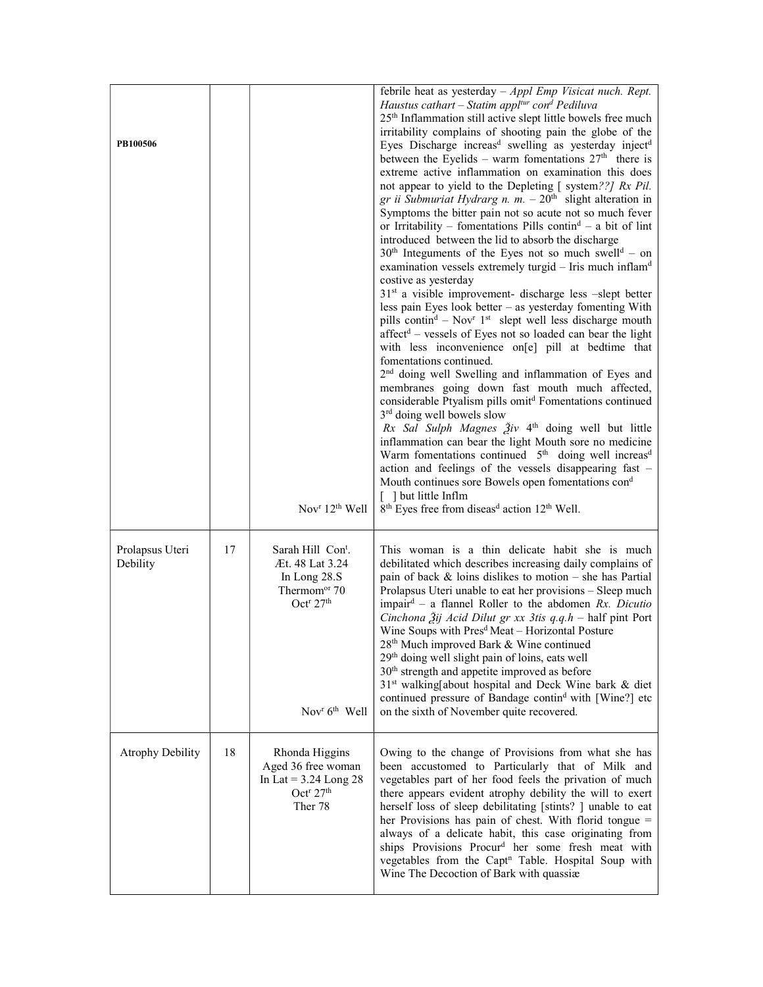| PB100506                    |    |                                                                                                                                                                            | febrile heat as yesterday $-Appl$ Emp Visicat nuch. Rept.<br>Haustus cathart – Statim appl <sup>tur</sup> con <sup>d</sup> Pediluva<br>25 <sup>th</sup> Inflammation still active slept little bowels free much<br>irritability complains of shooting pain the globe of the<br>Eyes Discharge increas <sup>d</sup> swelling as yesterday inject <sup>d</sup><br>between the Eyelids – warm fomentations $27th$ there is<br>extreme active inflammation on examination this does<br>not appear to yield to the Depleting [ system??] Rx Pil.<br>gr ii Submuriat Hydrarg n. m. $-20th$ slight alteration in<br>Symptoms the bitter pain not so acute not so much fever<br>or Irritability - fomentations Pills contin <sup>d</sup> - a bit of lint<br>introduced between the lid to absorb the discharge<br>$30th$ Integuments of the Eyes not so much swell <sup>d</sup> – on<br>examination vessels extremely turgid - Iris much inflam <sup>d</sup><br>costive as yesterday<br>31 <sup>st</sup> a visible improvement- discharge less -slept better<br>less pain Eyes look better - as yesterday fomenting With<br>pills contin <sup>d</sup> – Nov <sup>r</sup> 1 <sup>st</sup> slept well less discharge mouth<br>affect <sup>d</sup> - vessels of Eyes not so loaded can bear the light<br>with less inconvenience on[e] pill at bedtime that<br>fomentations continued.<br>2 <sup>nd</sup> doing well Swelling and inflammation of Eyes and<br>membranes going down fast mouth much affected,<br>considerable Ptyalism pills omit <sup>d</sup> Fomentations continued<br>3 <sup>rd</sup> doing well bowels slow<br>Rx Sal Sulph Magnes $\tilde{A}$ iv 4 <sup>th</sup> doing well but little<br>inflammation can bear the light Mouth sore no medicine<br>Warm fomentations continued 5 <sup>th</sup> doing well increas <sup>d</sup><br>action and feelings of the vessels disappearing fast -<br>Mouth continues sore Bowels open fomentations cond |
|-----------------------------|----|----------------------------------------------------------------------------------------------------------------------------------------------------------------------------|----------------------------------------------------------------------------------------------------------------------------------------------------------------------------------------------------------------------------------------------------------------------------------------------------------------------------------------------------------------------------------------------------------------------------------------------------------------------------------------------------------------------------------------------------------------------------------------------------------------------------------------------------------------------------------------------------------------------------------------------------------------------------------------------------------------------------------------------------------------------------------------------------------------------------------------------------------------------------------------------------------------------------------------------------------------------------------------------------------------------------------------------------------------------------------------------------------------------------------------------------------------------------------------------------------------------------------------------------------------------------------------------------------------------------------------------------------------------------------------------------------------------------------------------------------------------------------------------------------------------------------------------------------------------------------------------------------------------------------------------------------------------------------------------------------------------------------------------------------------------------------------------------------------------------------------------------------|
|                             |    | Nov $r$ 12 <sup>th</sup> Well                                                                                                                                              | [ ] but little Inflm<br>8 <sup>th</sup> Eyes free from diseas <sup>d</sup> action 12 <sup>th</sup> Well.                                                                                                                                                                                                                                                                                                                                                                                                                                                                                                                                                                                                                                                                                                                                                                                                                                                                                                                                                                                                                                                                                                                                                                                                                                                                                                                                                                                                                                                                                                                                                                                                                                                                                                                                                                                                                                                 |
| Prolapsus Uteri<br>Debility | 17 | Sarah Hill Con <sup>t</sup> .<br>Æt. 48 Lat 3.24<br>In Long 28.S<br>Thermom <sup>or</sup> 70<br>Oct <sup>r</sup> 27 <sup>th</sup><br>Nov <sup>r</sup> 6 <sup>th</sup> Well | This woman is a thin delicate habit she is much<br>debilitated which describes increasing daily complains of<br>pain of back $\&$ loins dislikes to motion – she has Partial<br>Prolapsus Uteri unable to eat her provisions – Sleep much<br>impair <sup>d</sup> – a flannel Roller to the abdomen Rx. Dicutio<br>Cinchona $\tilde{A}$ ij Acid Dilut gr xx 3tis q.q.h - half pint Port<br>Wine Soups with Pres <sup>d</sup> Meat - Horizontal Posture<br>28 <sup>th</sup> Much improved Bark & Wine continued<br>29 <sup>th</sup> doing well slight pain of loins, eats well<br>30 <sup>th</sup> strength and appetite improved as before<br>31st walking[about hospital and Deck Wine bark & diet<br>continued pressure of Bandage contin <sup>d</sup> with [Wine?] etc<br>on the sixth of November quite recovered.                                                                                                                                                                                                                                                                                                                                                                                                                                                                                                                                                                                                                                                                                                                                                                                                                                                                                                                                                                                                                                                                                                                                    |
| <b>Atrophy Debility</b>     | 18 | Rhonda Higgins<br>Aged 36 free woman<br>In Lat = $3.24$ Long 28<br>Oct <sup>r</sup> 27 <sup>th</sup><br>Ther 78                                                            | Owing to the change of Provisions from what she has<br>been accustomed to Particularly that of Milk and<br>vegetables part of her food feels the privation of much<br>there appears evident atrophy debility the will to exert<br>herself loss of sleep debilitating [stints? ] unable to eat<br>her Provisions has pain of chest. With florid tongue =<br>always of a delicate habit, this case originating from<br>ships Provisions Procur <sup>d</sup> her some fresh meat with<br>vegetables from the Capt <sup>n</sup> Table. Hospital Soup with<br>Wine The Decoction of Bark with quassiæ                                                                                                                                                                                                                                                                                                                                                                                                                                                                                                                                                                                                                                                                                                                                                                                                                                                                                                                                                                                                                                                                                                                                                                                                                                                                                                                                                         |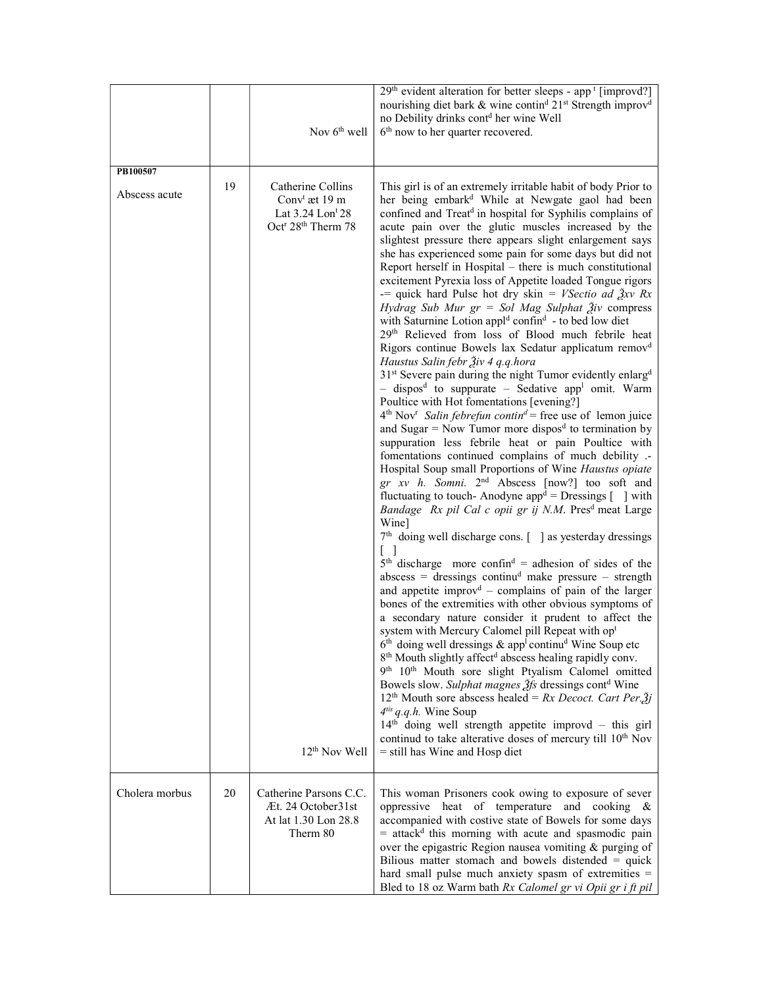|                           |    | Nov $6th$ well                                                                                                                                  | 29 <sup>th</sup> evident alteration for better sleeps - app <sup>t</sup> [improvd?]<br>nourishing diet bark & wine contin <sup>d</sup> 21 <sup>st</sup> Strength improv <sup>d</sup><br>no Debility drinks cont <sup>d</sup> her wine Well<br>6 <sup>th</sup> now to her quarter recovered.                                                                                                                                                                                                                                                                                                                                                                                                                                                                                                                                                                                                                                                                                                                                                                                                                                                                                                                                                                                                                                                                                                                                                                                                                                                                                                                                                                                                                                                                                                                                                                                                                                                                                                                                                                                                                                                                                                                                                                                                                                                                                                                                                                                                                                                                                                                                                                                                                                                                 |
|---------------------------|----|-------------------------------------------------------------------------------------------------------------------------------------------------|-------------------------------------------------------------------------------------------------------------------------------------------------------------------------------------------------------------------------------------------------------------------------------------------------------------------------------------------------------------------------------------------------------------------------------------------------------------------------------------------------------------------------------------------------------------------------------------------------------------------------------------------------------------------------------------------------------------------------------------------------------------------------------------------------------------------------------------------------------------------------------------------------------------------------------------------------------------------------------------------------------------------------------------------------------------------------------------------------------------------------------------------------------------------------------------------------------------------------------------------------------------------------------------------------------------------------------------------------------------------------------------------------------------------------------------------------------------------------------------------------------------------------------------------------------------------------------------------------------------------------------------------------------------------------------------------------------------------------------------------------------------------------------------------------------------------------------------------------------------------------------------------------------------------------------------------------------------------------------------------------------------------------------------------------------------------------------------------------------------------------------------------------------------------------------------------------------------------------------------------------------------------------------------------------------------------------------------------------------------------------------------------------------------------------------------------------------------------------------------------------------------------------------------------------------------------------------------------------------------------------------------------------------------------------------------------------------------------------------------------------------------|
| PB100507<br>Abscess acute | 19 | Catherine Collins<br>Conv <sup>t</sup> æt 19 m<br>Lat 3.24 Lon <sup>t</sup> 28<br>Oct <sup>r</sup> 28 <sup>th</sup> Therm 78<br>$12th$ Nov Well | This girl is of an extremely irritable habit of body Prior to<br>her being embark <sup>d</sup> While at Newgate gaol had been<br>confined and Treat <sup>d</sup> in hospital for Syphilis complains of<br>acute pain over the glutic muscles increased by the<br>slightest pressure there appears slight enlargement says<br>she has experienced some pain for some days but did not<br>Report herself in Hospital – there is much constitutional<br>excitement Pyrexia loss of Appetite loaded Tongue rigors<br>-= quick hard Pulse hot dry skin = <i>VSectio ad <math>\lambda x \lambda</math> Rx</i><br>Hydrag Sub Mur $gr = Sol$ Mag Sulphat $\tilde{A}$ iv compress<br>with Saturnine Lotion appl <sup>d</sup> confin <sup>d</sup> - to bed low diet<br>29th Relieved from loss of Blood much febrile heat<br>Rigors continue Bowels lax Sedatur applicatum remov <sup>d</sup><br>Haustus Salin febr Živ 4 q.q.hora<br>31 <sup>st</sup> Severe pain during the night Tumor evidently enlarg <sup>d</sup><br>- dispos <sup>d</sup> to suppurate - Sedative app <sup>1</sup> omit. Warm<br>Poultice with Hot fomentations [evening?]<br>$4th Novr Salin febrefun contind = free use of lemon juice$<br>and Sugar = Now Tumor more dispos <sup>d</sup> to termination by<br>suppuration less febrile heat or pain Poultice with<br>fomentations continued complains of much debility .-<br>Hospital Soup small Proportions of Wine Haustus opiate<br>gr xv h. Somni. 2 <sup>nd</sup> Abscess [now?] too soft and<br>fluctuating to touch-Anodyne app <sup>d</sup> = Dressings $\lceil \ \ \rceil$ with<br>Bandage Rx pil Cal c opii gr ij N.M. Pres <sup>d</sup> meat Large<br>Wine]<br>$7th$ doing well discharge cons. $\lceil \cdot \rceil$ as yesterday dressings<br>$5th$ discharge more confin <sup>d</sup> = adhesion of sides of the<br>$abscess = dressings$ continu <sup>d</sup> make pressure - strength<br>and appetite improv <sup>d</sup> - complains of pain of the larger<br>bones of the extremities with other obvious symptoms of<br>a secondary nature consider it prudent to affect the<br>system with Mercury Calomel pill Repeat with opt<br>$6th$ doing well dressings & app <sup>1</sup> continu <sup>d</sup> Wine Soup etc<br>8 <sup>th</sup> Mouth slightly affect <sup>d</sup> abscess healing rapidly conv.<br>9th 10th Mouth sore slight Ptyalism Calomel omitted<br>Bowels slow. Sulphat magnes 2fs dressings contd Wine<br>12 <sup>th</sup> Mouth sore abscess healed = Rx Decoct. Cart Per. $\tilde{Z}$ j<br>$4^{tis}$ q.q.h. Wine Soup<br>14 <sup>th</sup> doing well strength appetite improvd - this girl<br>continud to take alterative doses of mercury till 10 <sup>th</sup> Nov<br>= still has Wine and Hosp diet |
| Cholera morbus            | 20 | Catherine Parsons C.C.<br>Æt. 24 October31st<br>At lat 1.30 Lon 28.8<br>Therm 80                                                                | This woman Prisoners cook owing to exposure of sever<br>oppressive heat of temperature and cooking &<br>accompanied with costive state of Bowels for some days<br>$=$ attack <sup>d</sup> this morning with acute and spasmodic pain<br>over the epigastric Region nausea vomiting & purging of<br>Bilious matter stomach and bowels distended $=$ quick<br>hard small pulse much anxiety spasm of extremities =<br>Bled to 18 oz Warm bath Rx Calomel gr vi Opii gr i ft pil                                                                                                                                                                                                                                                                                                                                                                                                                                                                                                                                                                                                                                                                                                                                                                                                                                                                                                                                                                                                                                                                                                                                                                                                                                                                                                                                                                                                                                                                                                                                                                                                                                                                                                                                                                                                                                                                                                                                                                                                                                                                                                                                                                                                                                                                               |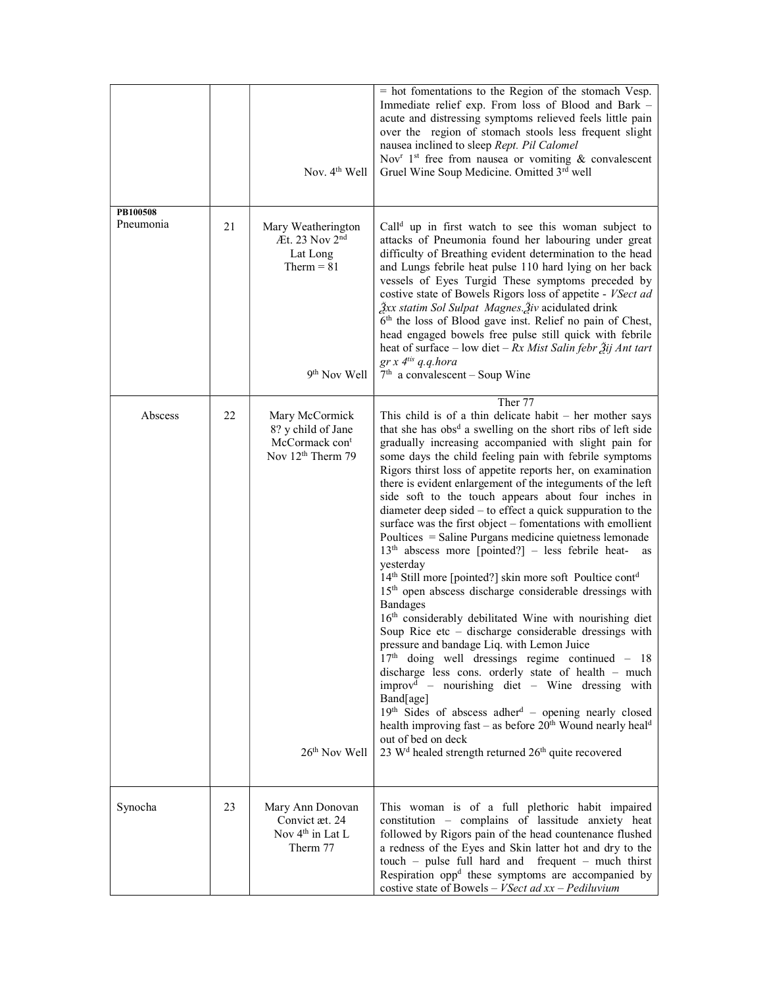|                       |    | Nov. 4 <sup>th</sup> Well                                                                                              | = hot fomentations to the Region of the stomach Vesp.<br>Immediate relief exp. From loss of Blood and Bark -<br>acute and distressing symptoms relieved feels little pain<br>over the region of stomach stools less frequent slight<br>nausea inclined to sleep Rept. Pil Calomel<br>Nov <sup>r</sup> 1 <sup>st</sup> free from nausea or vomiting $\&$ convalescent<br>Gruel Wine Soup Medicine. Omitted 3rd well                                                                                                                                                                                                                                                                                                                                                                                                                                                                                                                                                                                                                                                                                                                                                                                                                                                                                                                                                                                                                                                                                                                            |
|-----------------------|----|------------------------------------------------------------------------------------------------------------------------|-----------------------------------------------------------------------------------------------------------------------------------------------------------------------------------------------------------------------------------------------------------------------------------------------------------------------------------------------------------------------------------------------------------------------------------------------------------------------------------------------------------------------------------------------------------------------------------------------------------------------------------------------------------------------------------------------------------------------------------------------------------------------------------------------------------------------------------------------------------------------------------------------------------------------------------------------------------------------------------------------------------------------------------------------------------------------------------------------------------------------------------------------------------------------------------------------------------------------------------------------------------------------------------------------------------------------------------------------------------------------------------------------------------------------------------------------------------------------------------------------------------------------------------------------|
| PB100508<br>Pneumonia | 21 | Mary Weatherington<br>Æt. 23 Nov $2nd$<br>Lat Long<br>Therm $= 81$<br>9 <sup>th</sup> Nov Well                         | Call <sup>d</sup> up in first watch to see this woman subject to<br>attacks of Pneumonia found her labouring under great<br>difficulty of Breathing evident determination to the head<br>and Lungs febrile heat pulse 110 hard lying on her back<br>vessels of Eyes Turgid These symptoms preceded by<br>costive state of Bowels Rigors loss of appetite - VSect ad<br>Žxx statim Sol Sulpat Magnes. Živ acidulated drink<br>6 <sup>th</sup> the loss of Blood gave inst. Relief no pain of Chest,<br>head engaged bowels free pulse still quick with febrile<br>heat of surface – low diet – $Rx$ Mist Salin febr $\tilde{A}$ ij Ant tart<br>$gr x 4^{tis} q.q.hora$<br>$7th$ a convalescent – Soup Wine                                                                                                                                                                                                                                                                                                                                                                                                                                                                                                                                                                                                                                                                                                                                                                                                                                     |
| Abscess               | 22 | Mary McCormick<br>8? y child of Jane<br>McCormack con <sup>t</sup><br>Nov 12 <sup>th</sup> Therm 79<br>$26th$ Nov Well | Ther <sub>77</sub><br>This child is of a thin delicate habit $-$ her mother says<br>that she has obs <sup>d</sup> a swelling on the short ribs of left side<br>gradually increasing accompanied with slight pain for<br>some days the child feeling pain with febrile symptoms<br>Rigors thirst loss of appetite reports her, on examination<br>there is evident enlargement of the integuments of the left<br>side soft to the touch appears about four inches in<br>diameter deep sided - to effect a quick suppuration to the<br>surface was the first object - fomentations with emollient<br>Poultices = Saline Purgans medicine quietness lemonade<br>$13th$ abscess more [pointed?] - less febrile heat-<br>as<br>yesterday<br>14 <sup>th</sup> Still more [pointed?] skin more soft Poultice cont <sup>d</sup><br>15 <sup>th</sup> open abscess discharge considerable dressings with<br><b>Bandages</b><br>16 <sup>th</sup> considerably debilitated Wine with nourishing diet<br>Soup Rice $etc - discharge$ considerable dressings with<br>pressure and bandage Liq. with Lemon Juice<br>$17th$ doing well dressings regime continued - 18<br>discharge less cons. orderly state of health - much<br>improv <sup>d</sup> – nourishing diet – Wine dressing with<br>Band[age]<br>$19th$ Sides of abscess adher <sup>d</sup> – opening nearly closed<br>health improving fast – as before $20th$ Wound nearly heal <sup>d</sup><br>out of bed on deck<br>23 W <sup>d</sup> healed strength returned 26 <sup>th</sup> quite recovered |
| Synocha               | 23 | Mary Ann Donovan<br>Convict æt. 24<br>Nov 4 <sup>th</sup> in Lat L<br>Therm 77                                         | This woman is of a full plethoric habit impaired<br>constitution - complains of lassitude anxiety heat<br>followed by Rigors pain of the head countenance flushed<br>a redness of the Eyes and Skin latter hot and dry to the<br>$touch$ – pulse full hard and frequent – much thirst<br>Respiration opp <sup>d</sup> these symptoms are accompanied by<br>costive state of Bowels – <i>VSect ad xx – Pediluvium</i>                                                                                                                                                                                                                                                                                                                                                                                                                                                                                                                                                                                                                                                                                                                                                                                                                                                                                                                                                                                                                                                                                                                          |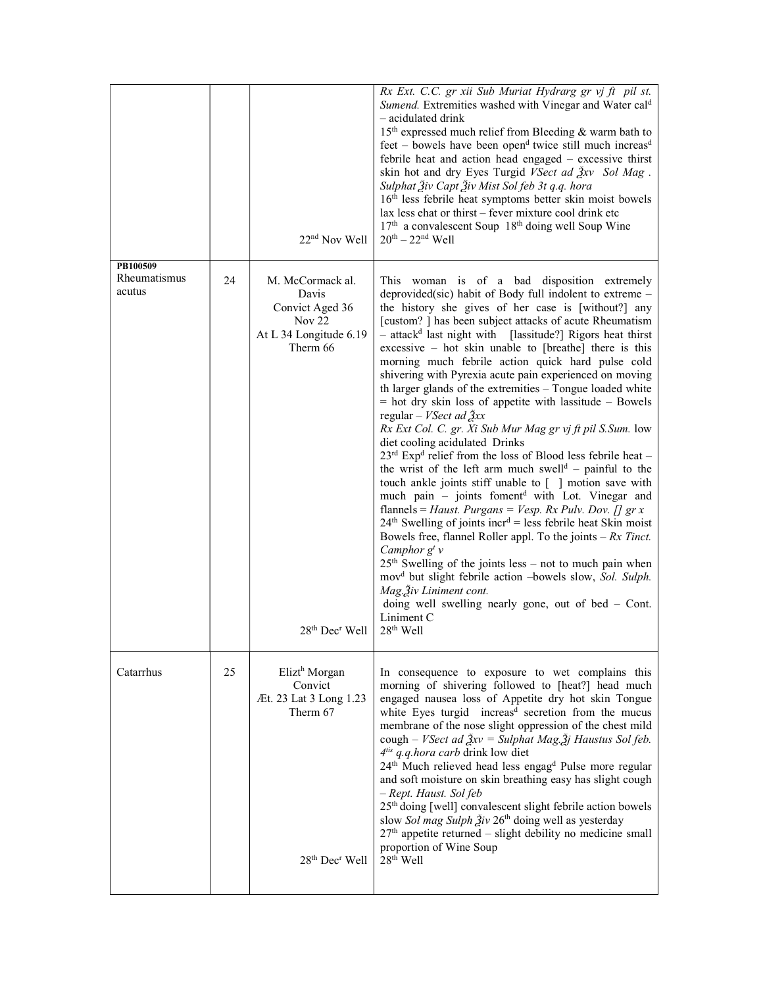|                                    |    | 22 <sup>nd</sup> Nov Well                                                                                            | Rx Ext. C.C. gr xii Sub Muriat Hydrarg gr vj ft pil st.<br>Sumend. Extremities washed with Vinegar and Water cal <sup>d</sup><br>- acidulated drink<br>15 <sup>th</sup> expressed much relief from Bleeding & warm bath to<br>$feet -$ bowels have been open <sup>d</sup> twice still much increas <sup>d</sup><br>febrile heat and action head engaged - excessive thirst<br>skin hot and dry Eyes Turgid VSect ad Žxv Sol Mag.<br>Sulphat Živ Capt Živ Mist Sol feb 3t q.q. hora<br>16 <sup>th</sup> less febrile heat symptoms better skin moist bowels<br>lax less ehat or thirst - fever mixture cool drink etc<br>17 <sup>th</sup> a convalescent Soup 18 <sup>th</sup> doing well Soup Wine<br>$20^{th} - 22^{nd}$ Well                                                                                                                                                                                                                                                                                                                                                                                                                                                                                                                                                                                                                                                                                                                                                                                                                  |
|------------------------------------|----|----------------------------------------------------------------------------------------------------------------------|-------------------------------------------------------------------------------------------------------------------------------------------------------------------------------------------------------------------------------------------------------------------------------------------------------------------------------------------------------------------------------------------------------------------------------------------------------------------------------------------------------------------------------------------------------------------------------------------------------------------------------------------------------------------------------------------------------------------------------------------------------------------------------------------------------------------------------------------------------------------------------------------------------------------------------------------------------------------------------------------------------------------------------------------------------------------------------------------------------------------------------------------------------------------------------------------------------------------------------------------------------------------------------------------------------------------------------------------------------------------------------------------------------------------------------------------------------------------------------------------------------------------------------------------------|
| PB100509<br>Rheumatismus<br>acutus | 24 | M. McCormack al.<br>Davis<br>Convict Aged 36<br>Nov <sub>22</sub><br>At L 34 Longitude 6.19<br>Therm 66              | This woman is of a bad disposition extremely<br>deprovided(sic) habit of Body full indolent to extreme -<br>the history she gives of her case is [without?] any<br>[custom?] has been subject attacks of acute Rheumatism<br>$-$ attack <sup>d</sup> last night with [lassitude?] Rigors heat thirst<br>$excessive - hot skin$ unable to [breathe] there is this<br>morning much febrile action quick hard pulse cold<br>shivering with Pyrexia acute pain experienced on moving<br>th larger glands of the extremities - Tongue loaded white<br>$=$ hot dry skin loss of appetite with lassitude $-$ Bowels<br>regular – <i>VSect ad</i> $\tilde{\mathbf{\beta}}$ <i>xx</i><br>Rx Ext Col. C. gr. Xi Sub Mur Mag gr vj ft pil S. Sum. low<br>diet cooling acidulated Drinks<br>$23^{rd}$ Exp <sup>d</sup> relief from the loss of Blood less febrile heat –<br>the wrist of the left arm much swell <sup>d</sup> - painful to the<br>touch ankle joints stiff unable to $\lceil \ \rceil$ motion save with<br>much pain - joints foment <sup>d</sup> with Lot. Vinegar and<br>flannels = Haust. Purgans = Vesp. Rx Pulv. Dov. [] gr x<br>$24th$ Swelling of joints incr <sup>d</sup> = less febrile heat Skin moist<br>Bowels free, flannel Roller appl. To the joints $-Rx$ Tinct.<br>Camphor $g^t$ v<br>$25th$ Swelling of the joints less – not to much pain when<br>mov <sup>d</sup> but slight febrile action -bowels slow, Sol. Sulph.<br>Mag. Živ Liniment cont.<br>doing well swelling nearly gone, out of bed $-$ Cont.<br>Liniment C |
|                                    |    | 28 <sup>th</sup> Dec <sup>r</sup> Well                                                                               | 28 <sup>th</sup> Well                                                                                                                                                                                                                                                                                                                                                                                                                                                                                                                                                                                                                                                                                                                                                                                                                                                                                                                                                                                                                                                                                                                                                                                                                                                                                                                                                                                                                                                                                                                           |
| Catarrhus                          | 25 | Elizt <sup>h</sup> Morgan<br>Convict<br>Æt. 23 Lat 3 Long 1.23<br>Therm 67<br>28 <sup>th</sup> Dec <sup>r</sup> Well | In consequence to exposure to wet complains this<br>morning of shivering followed to [heat?] head much<br>engaged nausea loss of Appetite dry hot skin Tongue<br>white Eyes turgid increas <sup>d</sup> secretion from the mucus<br>membrane of the nose slight oppression of the chest mild<br>cough – VSect ad $\frac{3}{2}xv =$ Sulphat Mag. $\frac{3}{2}j$ Haustus Sol feb.<br>4 <sup>tis</sup> q.q.hora carb drink low diet<br>24 <sup>th</sup> Much relieved head less engag <sup>d</sup> Pulse more regular<br>and soft moisture on skin breathing easy has slight cough<br>- Rept. Haust. Sol feb<br>25 <sup>th</sup> doing [well] convalescent slight febrile action bowels<br>slow Sol mag Sulph Živ 26 <sup>th</sup> doing well as yesterday<br>$27th$ appetite returned – slight debility no medicine small<br>proportion of Wine Soup<br>28 <sup>th</sup> Well                                                                                                                                                                                                                                                                                                                                                                                                                                                                                                                                                                                                                                                                     |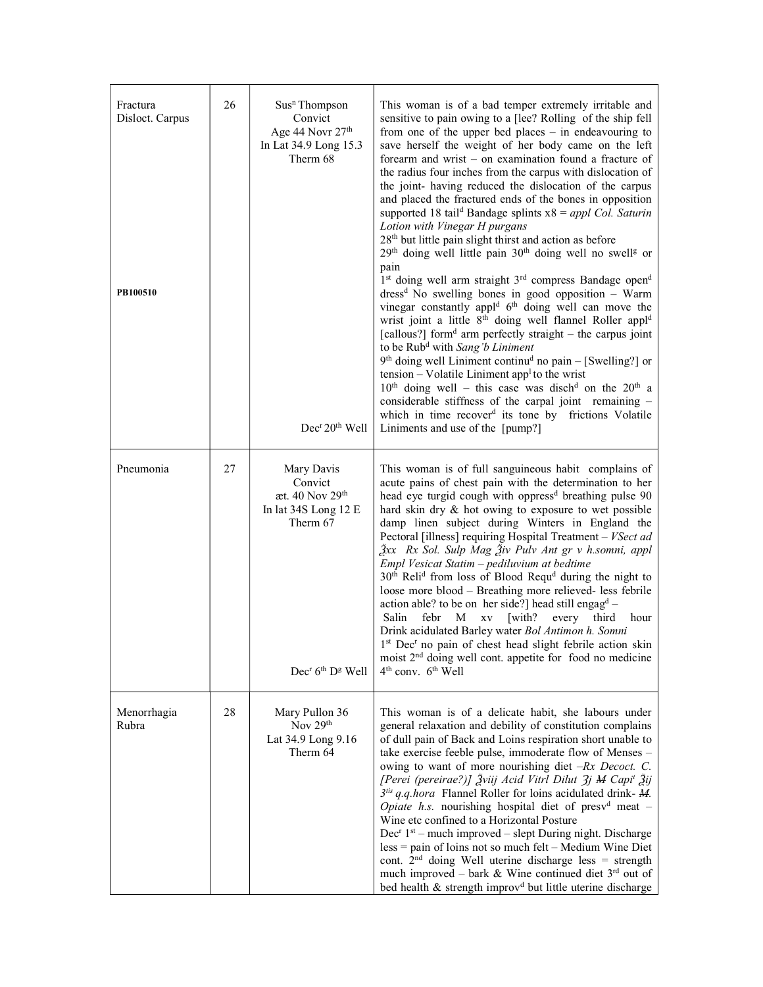| Fractura<br>Disloct. Carpus<br>PB100510 | 26 | Sus <sup>n</sup> Thompson<br>Convict<br>Age 44 Novr 27 <sup>th</sup><br>In Lat 34.9 Long 15.3<br>Therm 68<br>Dec <sup>r</sup> 20 <sup>th</sup> Well | This woman is of a bad temper extremely irritable and<br>sensitive to pain owing to a [lee? Rolling of the ship fell<br>from one of the upper bed places $-$ in endeavouring to<br>save herself the weight of her body came on the left<br>forearm and wrist $-$ on examination found a fracture of<br>the radius four inches from the carpus with dislocation of<br>the joint- having reduced the dislocation of the carpus<br>and placed the fractured ends of the bones in opposition<br>supported 18 tail <sup>d</sup> Bandage splints $x8 = apply Col$ . Saturin<br>Lotion with Vinegar H purgans<br>28 <sup>th</sup> but little pain slight thirst and action as before<br>$29th$ doing well little pain $30th$ doing well no swell <sup>g</sup> or<br>pain<br>1st doing well arm straight 3 <sup>rd</sup> compress Bandage open <sup>d</sup><br>dress <sup>d</sup> No swelling bones in good opposition - Warm<br>vinegar constantly appl <sup>d</sup> 6 <sup>th</sup> doing well can move the<br>wrist joint a little 8 <sup>th</sup> doing well flannel Roller appl <sup>d</sup><br>[callous?] form <sup>d</sup> arm perfectly straight – the carpus joint<br>to be Rub <sup>d</sup> with Sang'b Liniment<br>$9th$ doing well Liniment continu <sup>d</sup> no pain – [Swelling?] or<br>tension – Volatile Liniment app <sup>1</sup> to the wrist<br>$10th$ doing well – this case was disch <sup>d</sup> on the 20 <sup>th</sup> a<br>considerable stiffness of the carpal joint remaining -<br>which in time recover <sup>d</sup> its tone by frictions Volatile<br>Liniments and use of the [pump?] |
|-----------------------------------------|----|-----------------------------------------------------------------------------------------------------------------------------------------------------|-----------------------------------------------------------------------------------------------------------------------------------------------------------------------------------------------------------------------------------------------------------------------------------------------------------------------------------------------------------------------------------------------------------------------------------------------------------------------------------------------------------------------------------------------------------------------------------------------------------------------------------------------------------------------------------------------------------------------------------------------------------------------------------------------------------------------------------------------------------------------------------------------------------------------------------------------------------------------------------------------------------------------------------------------------------------------------------------------------------------------------------------------------------------------------------------------------------------------------------------------------------------------------------------------------------------------------------------------------------------------------------------------------------------------------------------------------------------------------------------------------------------------------------------------------------------------------------------------------------------|
| Pneumonia                               | 27 | Mary Davis<br>Convict<br>æt. 40 Nov 29 <sup>th</sup><br>In lat 34S Long 12 E<br>Therm 67<br>$Decr 6th Dg$ Well                                      | This woman is of full sanguineous habit complains of<br>acute pains of chest pain with the determination to her<br>head eye turgid cough with oppress <sup>d</sup> breathing pulse 90<br>hard skin dry & hot owing to exposure to wet possible<br>damp linen subject during Winters in England the<br>Pectoral [illness] requiring Hospital Treatment - VSect ad<br>$\beta$ xx Rx Sol. Sulp Mag $\beta$ iv Pulv Ant gr v h.somni, appl<br>Empl Vesicat Statim - pediluvium at bedtime<br>30 <sup>th</sup> Reli <sup>d</sup> from loss of Blood Requ <sup>d</sup> during the night to<br>loose more blood - Breathing more relieved- less febrile<br>action able? to be on her side?] head still engag <sup>d</sup> -<br>febr<br>$\mathbf M$<br>$\mathbf{X}\mathbf{V}$<br>[with?]<br>every<br>Salin<br>third<br>hour<br>Drink acidulated Barley water Bol Antimon h. Somni<br>1st Dec <sup>r</sup> no pain of chest head slight febrile action skin<br>moist 2 <sup>nd</sup> doing well cont. appetite for food no medicine<br>$4th$ conv. $6th$ Well                                                                                                                                                                                                                                                                                                                                                                                                                                                                                                                                                            |
| Menorrhagia<br>Rubra                    | 28 | Mary Pullon 36<br>Nov 29th<br>Lat 34.9 Long 9.16<br>Therm 64                                                                                        | This woman is of a delicate habit, she labours under<br>general relaxation and debility of constitution complains<br>of dull pain of Back and Loins respiration short unable to<br>take exercise feeble pulse, immoderate flow of Menses -<br>owing to want of more nourishing diet $-Rx$ Decoct. C.<br>[Perei (pereirae?)] Žviij Acid Vitrl Dilut 3j M Capi <sup>t</sup> Žij<br>$3^{tis}$ q.q. hora Flannel Roller for loins acidulated drink- $M$ .<br><i>Opiate h.s.</i> nourishing hospital diet of presv <sup>d</sup> meat $-$<br>Wine etc confined to a Horizontal Posture<br>Dec <sup>r</sup> $1st$ – much improved – slept During night. Discharge<br>$less = pain$ of loins not so much felt – Medium Wine Diet<br>cont. $2nd$ doing Well uterine discharge less = strength<br>much improved – bark & Wine continued diet $3^{rd}$ out of<br>bed health & strength improv <sup>d</sup> but little uterine discharge                                                                                                                                                                                                                                                                                                                                                                                                                                                                                                                                                                                                                                                                                    |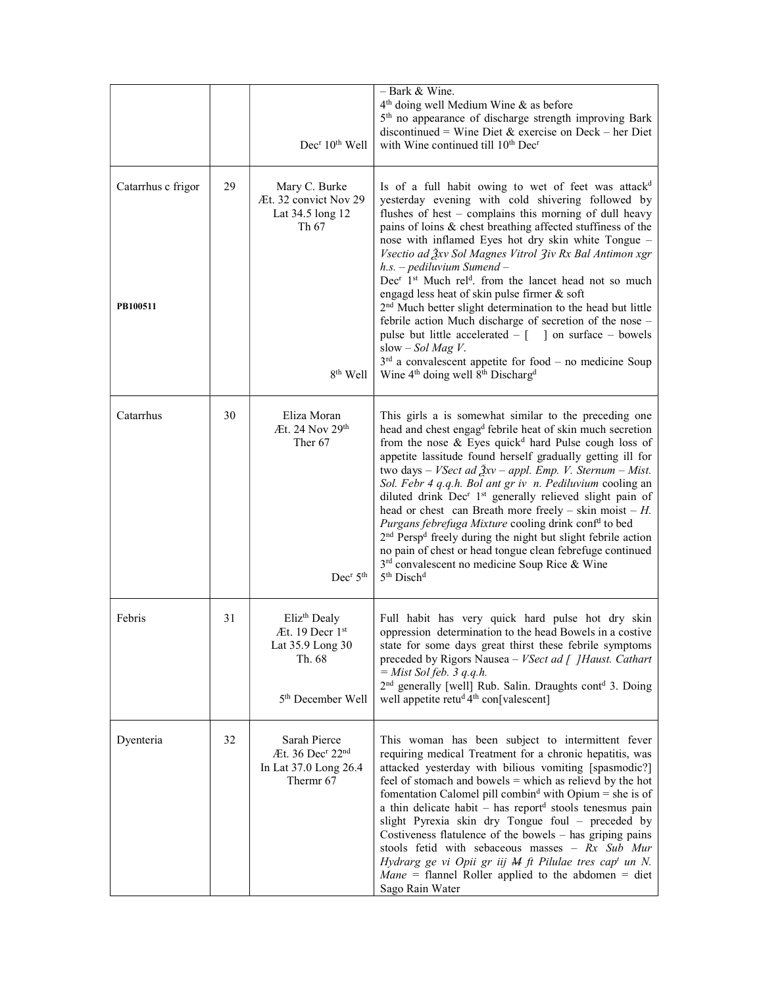|                                |    | Dec <sup>r</sup> 10 <sup>th</sup> Well                                                                     | $-$ Bark & Wine.<br>4 <sup>th</sup> doing well Medium Wine & as before<br>5 <sup>th</sup> no appearance of discharge strength improving Bark<br>discontinued = Wine Diet & exercise on Deck – her Diet<br>with Wine continued till 10 <sup>th</sup> Dec <sup>r</sup>                                                                                                                                                                                                                                                                                                                                                                                                                                                                                                                                                                                                                                |
|--------------------------------|----|------------------------------------------------------------------------------------------------------------|-----------------------------------------------------------------------------------------------------------------------------------------------------------------------------------------------------------------------------------------------------------------------------------------------------------------------------------------------------------------------------------------------------------------------------------------------------------------------------------------------------------------------------------------------------------------------------------------------------------------------------------------------------------------------------------------------------------------------------------------------------------------------------------------------------------------------------------------------------------------------------------------------------|
| Catarrhus c frigor<br>PB100511 | 29 | Mary C. Burke<br>Æt. 32 convict Nov 29<br>Lat 34.5 long 12<br>Th 67                                        | Is of a full habit owing to wet of feet was attack <sup>d</sup><br>yesterday evening with cold shivering followed by<br>flushes of hest - complains this morning of dull heavy<br>pains of loins & chest breathing affected stuffiness of the<br>nose with inflamed Eyes hot dry skin white Tongue -<br>Vsectio ad Žxv Sol Magnes Vitrol 3iv Rx Bal Antimon xgr<br>$h.s.$ – pediluvium Sumend –<br>Dec <sup>r</sup> 1 <sup>st</sup> Much rel <sup>d</sup> . from the lancet head not so much<br>engagd less heat of skin pulse firmer & soft<br>2 <sup>nd</sup> Much better slight determination to the head but little                                                                                                                                                                                                                                                                             |
|                                |    | 8 <sup>th</sup> Well                                                                                       | febrile action Much discharge of secretion of the nose -<br>pulse but little accelerated $-$ [ ] on surface $-$ bowels<br>slow $-Sol$ Mag V.<br>$3rd$ a convalescent appetite for food – no medicine Soup<br>Wine 4 <sup>th</sup> doing well 8 <sup>th</sup> Discharg <sup>d</sup>                                                                                                                                                                                                                                                                                                                                                                                                                                                                                                                                                                                                                  |
| Catarrhus                      | 30 | Eliza Moran<br>Æt. 24 Nov 29th<br>Ther <sub>67</sub><br>Dec <sup>r</sup> 5 <sup>th</sup>                   | This girls a is somewhat similar to the preceding one<br>head and chest engag <sup>d</sup> febrile heat of skin much secretion<br>from the nose & Eyes quick <sup>d</sup> hard Pulse cough loss of<br>appetite lassitude found herself gradually getting ill for<br>two days – <i>VSect ad <math>\frac{3}{2}xv</math> – appl. Emp. V. Sternum – Mist.</i><br>Sol. Febr 4 q.q.h. Bol ant gr iv n. Pediluvium cooling an<br>diluted drink Dec <sup>r</sup> 1 <sup>st</sup> generally relieved slight pain of<br>head or chest can Breath more freely – skin moist – $H$ .<br>Purgans febrefuga Mixture cooling drink conf <sup>d</sup> to bed<br>2 <sup>nd</sup> Persp <sup>d</sup> freely during the night but slight febrile action<br>no pain of chest or head tongue clean febrefuge continued<br>3 <sup>rd</sup> convalescent no medicine Soup Rice & Wine<br>5 <sup>th</sup> Disch <sup>d</sup> |
| Febris                         | 31 | Eliz <sup>th</sup> Dealy<br>Æt. 19 Decr 1st<br>Lat 35.9 Long 30<br>Th. 68<br>5 <sup>th</sup> December Well | Full habit has very quick hard pulse hot dry skin<br>oppression determination to the head Bowels in a costive<br>state for some days great thirst these febrile symptoms<br>preceded by Rigors Nausea - VSect ad [ ] Haust. Cathart<br>$=$ Mist Sol feb. 3 q.q.h.<br>2 <sup>nd</sup> generally [well] Rub. Salin. Draughts cont <sup>d</sup> 3. Doing<br>well appetite retud 4th con[valescent]                                                                                                                                                                                                                                                                                                                                                                                                                                                                                                     |
| Dyenteria                      | 32 | Sarah Pierce<br>Æt. 36 Dec <sup>r</sup> 22 <sup>nd</sup><br>In Lat 37.0 Long 26.4<br>Thermr 67             | This woman has been subject to intermittent fever<br>requiring medical Treatment for a chronic hepatitis, was<br>attacked yesterday with bilious vomiting [spasmodic?]<br>feel of stomach and bowels $=$ which as relieved by the hot<br>fomentation Calomel pill combin <sup>d</sup> with Opium = she is of<br>a thin delicate habit – has report <sup>d</sup> stools tenesmus pain<br>slight Pyrexia skin dry Tongue foul - preceded by<br>Costiveness flatulence of the bowels - has griping pains<br>stools fetid with sebaceous masses - Rx Sub Mur<br>Hydrarg ge vi Opii gr iij M ft Pilulae tres cap <sup>t</sup> un N.<br><i>Mane</i> = flannel Roller applied to the abdomen = diet<br>Sago Rain Water                                                                                                                                                                                     |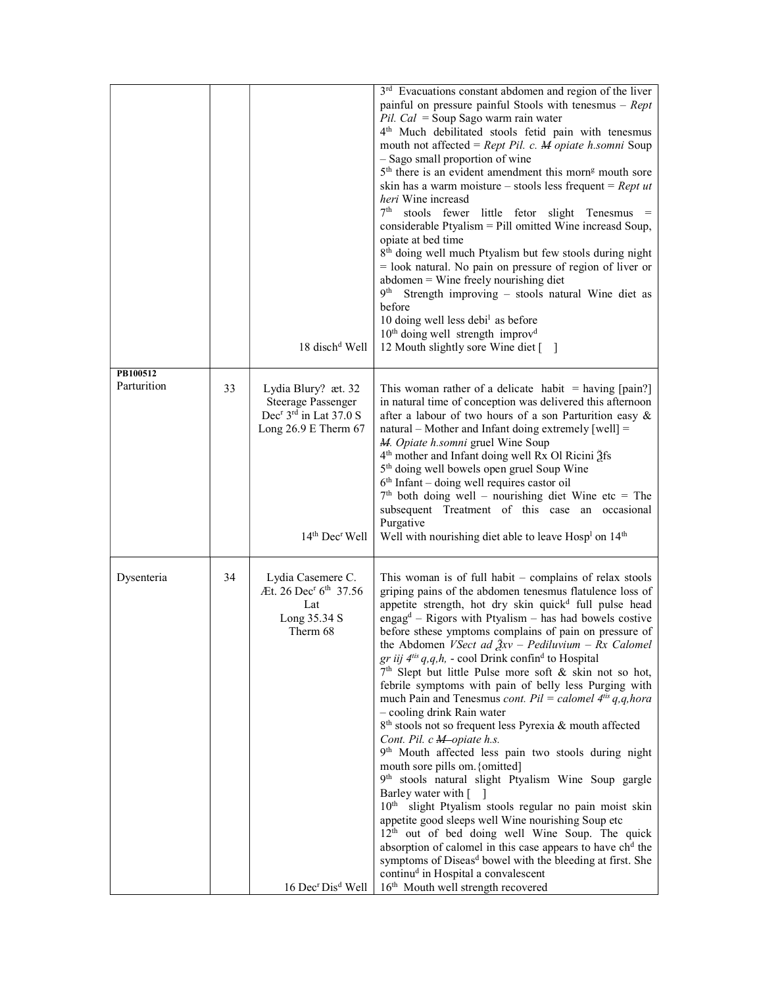|                         |    |                                                                                                                                                            | 3 <sup>rd</sup> Evacuations constant abdomen and region of the liver<br>painful on pressure painful Stools with tenesmus $-$ Rept<br>Pil. Cal = Soup Sago warm rain water<br>4 <sup>th</sup> Much debilitated stools fetid pain with tenesmus<br>mouth not affected = $Rept$ Pil. c. M opiate h.somni Soup<br>- Sago small proportion of wine<br>5 <sup>th</sup> there is an evident amendment this morn <sup>g</sup> mouth sore<br>skin has a warm moisture – stools less frequent = $Rept$ ut<br><i>heri</i> Wine increasd<br>$7th$ stools fewer little fetor slight Tenesmus =<br>considerable Ptyalism = Pill omitted Wine increasd Soup,<br>opiate at bed time                                                                                                                                                                                                                                                                                                                                                                                                                                                                                                                                                                                                                                                                                                                                                               |
|-------------------------|----|------------------------------------------------------------------------------------------------------------------------------------------------------------|-----------------------------------------------------------------------------------------------------------------------------------------------------------------------------------------------------------------------------------------------------------------------------------------------------------------------------------------------------------------------------------------------------------------------------------------------------------------------------------------------------------------------------------------------------------------------------------------------------------------------------------------------------------------------------------------------------------------------------------------------------------------------------------------------------------------------------------------------------------------------------------------------------------------------------------------------------------------------------------------------------------------------------------------------------------------------------------------------------------------------------------------------------------------------------------------------------------------------------------------------------------------------------------------------------------------------------------------------------------------------------------------------------------------------------------|
|                         |    | 18 disch <sup>d</sup> Well                                                                                                                                 | 8 <sup>th</sup> doing well much Ptyalism but few stools during night<br>$=$ look natural. No pain on pressure of region of liver or<br>$abdomen =$ Wine freely nourishing diet<br>9th Strength improving - stools natural Wine diet as<br>before<br>10 doing well less debi <sup>1</sup> as before<br>$10th$ doing well strength improv <sup>d</sup><br>12 Mouth slightly sore Wine diet []                                                                                                                                                                                                                                                                                                                                                                                                                                                                                                                                                                                                                                                                                                                                                                                                                                                                                                                                                                                                                                       |
| PB100512<br>Parturition | 33 | Lydia Blury? æt. 32<br><b>Steerage Passenger</b><br>Dec <sup>r</sup> 3 <sup>rd</sup> in Lat 37.0 S<br>Long 26.9 E Therm 67<br>$14th$ Dec <sup>r</sup> Well | This woman rather of a delicate habit $=$ having [pain?]<br>in natural time of conception was delivered this afternoon<br>after a labour of two hours of a son Parturition easy &<br>$natural - Mother$ and Infant doing extremely [well] =<br>M. Opiate h.somni gruel Wine Soup<br>4 <sup>th</sup> mother and Infant doing well Rx Ol Ricini 3fs<br>5 <sup>th</sup> doing well bowels open gruel Soup Wine<br>$6th$ Infant – doing well requires castor oil<br>$7th$ both doing well – nourishing diet Wine etc = The<br>subsequent Treatment of this case an occasional<br>Purgative<br>Well with nourishing diet able to leave Hosp <sup>1</sup> on 14 <sup>th</sup>                                                                                                                                                                                                                                                                                                                                                                                                                                                                                                                                                                                                                                                                                                                                                           |
| Dysenteria              | 34 | Lydia Casemere C.<br>Æt. 26 Dec <sup>r</sup> 6 <sup>th</sup> 37.56<br>Lat<br>Long 35.34 S<br>Therm 68<br>16 Dec <sup>r</sup> Dis <sup>d</sup> Well         | This woman is of full habit $-$ complains of relax stools<br>griping pains of the abdomen tenesmus flatulence loss of<br>appetite strength, hot dry skin quick <sup>d</sup> full pulse head<br>engag <sup>d</sup> – Rigors with Ptyalism – has had bowels costive<br>before sthese ymptoms complains of pain on pressure of<br>the Abdomen VSect ad $\frac{3}{2}xv$ – Pediluvium – Rx Calomel<br>gr iij $4^{tis}$ q, q, h, - cool Drink confin <sup>d</sup> to Hospital<br>7 <sup>th</sup> Slept but little Pulse more soft & skin not so hot,<br>febrile symptoms with pain of belly less Purging with<br>much Pain and Tenesmus <i>cont.</i> $Pil = calomel 4its q,q,hora$<br>- cooling drink Rain water<br>8 <sup>th</sup> stools not so frequent less Pyrexia & mouth affected<br>Cont. Pil. c M-opiate h.s.<br>9th Mouth affected less pain two stools during night<br>mouth sore pills om. {omitted]<br>9th stools natural slight Ptyalism Wine Soup gargle<br>Barley water with [ ]<br>10 <sup>th</sup> slight Ptyalism stools regular no pain moist skin<br>appetite good sleeps well Wine nourishing Soup etc<br>12 <sup>th</sup> out of bed doing well Wine Soup. The quick<br>absorption of calomel in this case appears to have ch <sup>d</sup> the<br>symptoms of Diseas <sup>d</sup> bowel with the bleeding at first. She<br>continud in Hospital a convalescent<br>16 <sup>th</sup> Mouth well strength recovered |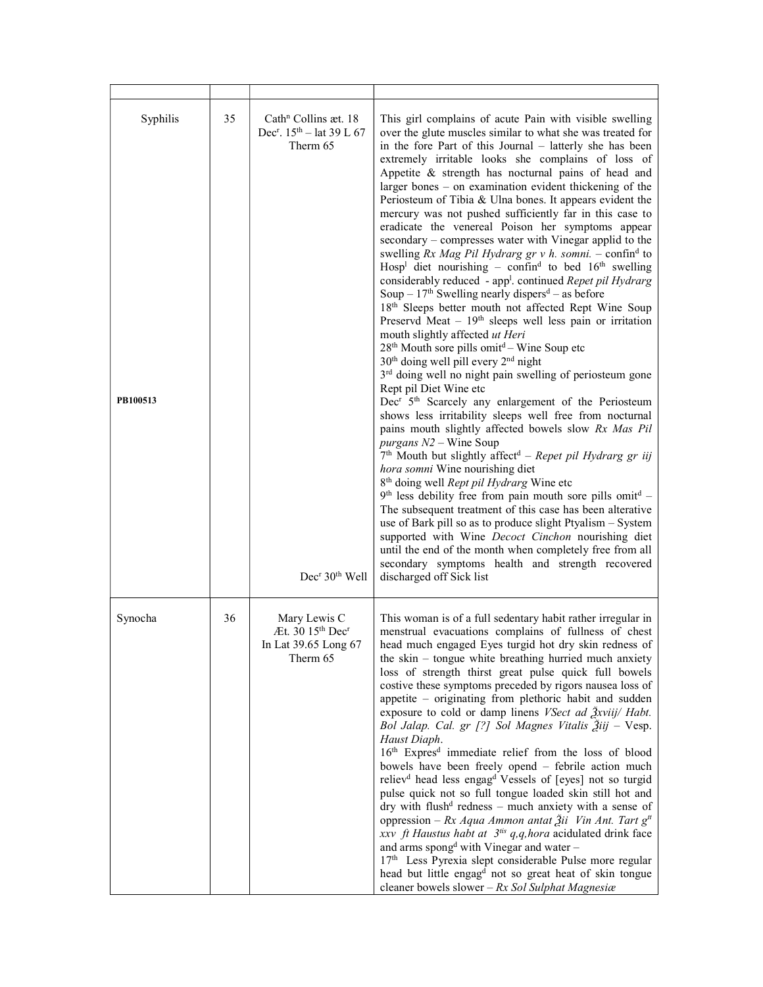| Syphilis<br>PB100513 | 35 | Cath <sup>n</sup> Collins æt. 18<br>Dec <sup>r</sup> . 15 <sup>th</sup> - lat 39 L 67<br>Therm 65<br>Dec <sup>r</sup> 30 <sup>th</sup> Well | This girl complains of acute Pain with visible swelling<br>over the glute muscles similar to what she was treated for<br>in the fore Part of this Journal – latterly she has been<br>extremely irritable looks she complains of loss of<br>Appetite & strength has nocturnal pains of head and<br>larger bones - on examination evident thickening of the<br>Periosteum of Tibia & Ulna bones. It appears evident the<br>mercury was not pushed sufficiently far in this case to<br>eradicate the venereal Poison her symptoms appear<br>secondary - compresses water with Vinegar applid to the<br>swelling Rx Mag Pil Hydrarg gr v h. somni. – confin <sup>d</sup> to<br>Hosp <sup>1</sup> diet nourishing - confin <sup>d</sup> to bed $16th$ swelling<br>considerably reduced - app <sup>1</sup> . continued Repet pil Hydrarg<br>Soup – $17th$ Swelling nearly dispers <sup>d</sup> – as before<br>18 <sup>th</sup> Sleeps better mouth not affected Rept Wine Soup<br>Preservd Meat - $19th$ sleeps well less pain or irritation<br>mouth slightly affected ut Heri<br>$28th$ Mouth sore pills omit <sup>d</sup> – Wine Soup etc<br>30 <sup>th</sup> doing well pill every 2 <sup>nd</sup> night<br>3 <sup>rd</sup> doing well no night pain swelling of periosteum gone<br>Rept pil Diet Wine etc<br>Dec <sup>r</sup> 5 <sup>th</sup> Scarcely any enlargement of the Periosteum<br>shows less irritability sleeps well free from nocturnal<br>pains mouth slightly affected bowels slow Rx Mas Pil<br>purgans $N2$ – Wine Soup<br>$7th$ Mouth but slightly affect <sup>d</sup> – Repet pil Hydrarg gr iij<br>hora somni Wine nourishing diet<br>8 <sup>th</sup> doing well Rept pil Hydrarg Wine etc<br>$9th$ less debility free from pain mouth sore pills omit <sup>d</sup> -<br>The subsequent treatment of this case has been alterative<br>use of Bark pill so as to produce slight Ptyalism - System<br>supported with Wine Decoct Cinchon nourishing diet<br>until the end of the month when completely free from all<br>secondary symptoms health and strength recovered<br>discharged off Sick list |
|----------------------|----|---------------------------------------------------------------------------------------------------------------------------------------------|----------------------------------------------------------------------------------------------------------------------------------------------------------------------------------------------------------------------------------------------------------------------------------------------------------------------------------------------------------------------------------------------------------------------------------------------------------------------------------------------------------------------------------------------------------------------------------------------------------------------------------------------------------------------------------------------------------------------------------------------------------------------------------------------------------------------------------------------------------------------------------------------------------------------------------------------------------------------------------------------------------------------------------------------------------------------------------------------------------------------------------------------------------------------------------------------------------------------------------------------------------------------------------------------------------------------------------------------------------------------------------------------------------------------------------------------------------------------------------------------------------------------------------------------------------------------------------------------------------------------------------------------------------------------------------------------------------------------------------------------------------------------------------------------------------------------------------------------------------------------------------------------------------------------------------------------------------------------------------------------------------------------------------------------------------------------------------------------------------------------|
| Synocha              | 36 | Mary Lewis C<br>Æt. 30 15 <sup>th</sup> Dec <sup>r</sup><br>In Lat 39.65 Long 67<br>Therm 65                                                | This woman is of a full sedentary habit rather irregular in<br>menstrual evacuations complains of fullness of chest<br>head much engaged Eyes turgid hot dry skin redness of<br>the skin – tongue white breathing hurried much anxiety<br>loss of strength thirst great pulse quick full bowels<br>costive these symptoms preceded by rigors nausea loss of<br>appetite – originating from plethoric habit and sudden<br>exposure to cold or damp linens <i>VSect ad <math>\frac{3}{2}</math>xviij/ Habt.</i><br>Bol Jalap. Cal. gr [?] Sol Magnes Vitalis Žiij - Vesp.<br>Haust Diaph.<br>16 <sup>th</sup> Expres <sup>d</sup> immediate relief from the loss of blood<br>bowels have been freely opend - febrile action much<br>reliev <sup>d</sup> head less engag <sup>d</sup> Vessels of [eyes] not so turgid<br>pulse quick not so full tongue loaded skin still hot and<br>dry with flush <sup>d</sup> redness - much anxiety with a sense of<br>oppression – Rx Aqua Ammon antat Žii Vin Ant. Tart $gtt$<br>xxv ft Haustus habt at $3^{iis}$ q,q, hora acidulated drink face<br>and arms spongd with Vinegar and water -<br>17th Less Pyrexia slept considerable Pulse more regular<br>head but little engag <sup>d</sup> not so great heat of skin tongue<br>cleaner bowels slower - $Rx$ Sol Sulphat Magnesia                                                                                                                                                                                                                                                                                                                                                                                                                                                                                                                                                                                                                                                                                                                                                                                              |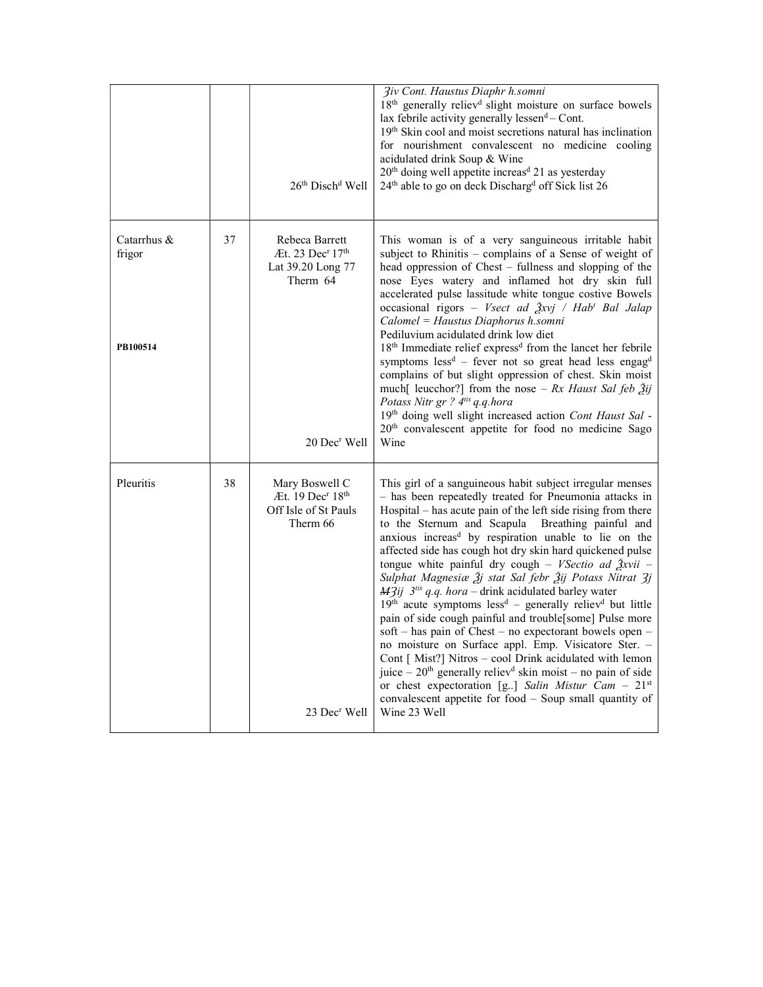|                                   |    | $26th$ Disch <sup>d</sup> Well                                                                                               | <b>3iv Cont. Haustus Diaphr h.somni</b><br>18 <sup>th</sup> generally reliev <sup>d</sup> slight moisture on surface bowels<br>lax febrile activity generally lessen <sup>d</sup> - Cont.<br>19 <sup>th</sup> Skin cool and moist secretions natural has inclination<br>for nourishment convalescent no medicine cooling<br>acidulated drink Soup & Wine<br>20 <sup>th</sup> doing well appetite increas <sup>d</sup> 21 as yesterday<br>24 <sup>th</sup> able to go on deck Discharg <sup>d</sup> off Sick list 26                                                                                                                                                                                                                                                                                                                                                                                                                                                                                                                                                                                                                     |
|-----------------------------------|----|------------------------------------------------------------------------------------------------------------------------------|-----------------------------------------------------------------------------------------------------------------------------------------------------------------------------------------------------------------------------------------------------------------------------------------------------------------------------------------------------------------------------------------------------------------------------------------------------------------------------------------------------------------------------------------------------------------------------------------------------------------------------------------------------------------------------------------------------------------------------------------------------------------------------------------------------------------------------------------------------------------------------------------------------------------------------------------------------------------------------------------------------------------------------------------------------------------------------------------------------------------------------------------|
| Catarrhus &<br>frigor<br>PB100514 | 37 | Rebeca Barrett<br>$\text{At. } 23 \text{ Dec}^r 17^{\text{th}}$<br>Lat 39.20 Long 77<br>Therm 64<br>20 Dec <sup>r</sup> Well | This woman is of a very sanguineous irritable habit<br>subject to Rhinitis - complains of a Sense of weight of<br>head oppression of Chest – fullness and slopping of the<br>nose Eyes watery and inflamed hot dry skin full<br>accelerated pulse lassitude white tongue costive Bowels<br>occasional rigors - Vsect ad Žxvj / Hab <sup>t</sup> Bal Jalap<br>Calomel = Haustus Diaphorus h.somni<br>Pediluvium acidulated drink low diet<br>18 <sup>th</sup> Immediate relief express <sup>d</sup> from the lancet her febrile<br>symptoms $less^d$ – fever not so great head less engag <sup>d</sup><br>complains of but slight oppression of chest. Skin moist<br>much[ leucchor?] from the nose – Rx Haust Sal feb $\tilde{g}ij$<br>Potass Nitr gr ? 4tis q.q.hora<br>19th doing well slight increased action Cont Haust Sal -<br>20 <sup>th</sup> convalescent appetite for food no medicine Sago<br>Wine                                                                                                                                                                                                                           |
| Pleuritis                         | 38 | Mary Boswell C<br>Æt. 19 Dec <sup>r</sup> 18 <sup>th</sup><br>Off Isle of St Pauls<br>Therm 66<br>23 Dec <sup>r</sup> Well   | This girl of a sanguineous habit subject irregular menses<br>- has been repeatedly treated for Pneumonia attacks in<br>Hospital - has acute pain of the left side rising from there<br>to the Sternum and Scapula Breathing painful and<br>anxious increas <sup>d</sup> by respiration unable to lie on the<br>affected side has cough hot dry skin hard quickened pulse<br>tongue white painful dry cough - VSectio ad $\frac{3}{2}$ xvii -<br>Sulphat Magnesiæ Žj stat Sal febr Žij Potass Nitrat 3j<br>$M3ij$ 3 <sup>tis</sup> q.q. hora - drink acidulated barley water<br>$19th$ acute symptoms less <sup>d</sup> – generally reliev <sup>d</sup> but little<br>pain of side cough painful and trouble[some] Pulse more<br>soft – has pain of Chest – no expectorant bowels open –<br>no moisture on Surface appl. Emp. Visicatore Ster. -<br>Cont [ Mist?] Nitros - cool Drink acidulated with lemon<br>juice - 20 <sup>th</sup> generally reliev <sup>d</sup> skin moist - no pain of side<br>or chest expectoration [g] Salin Mistur Cam - $21^{st}$<br>convalescent appetite for food - Soup small quantity of<br>Wine 23 Well |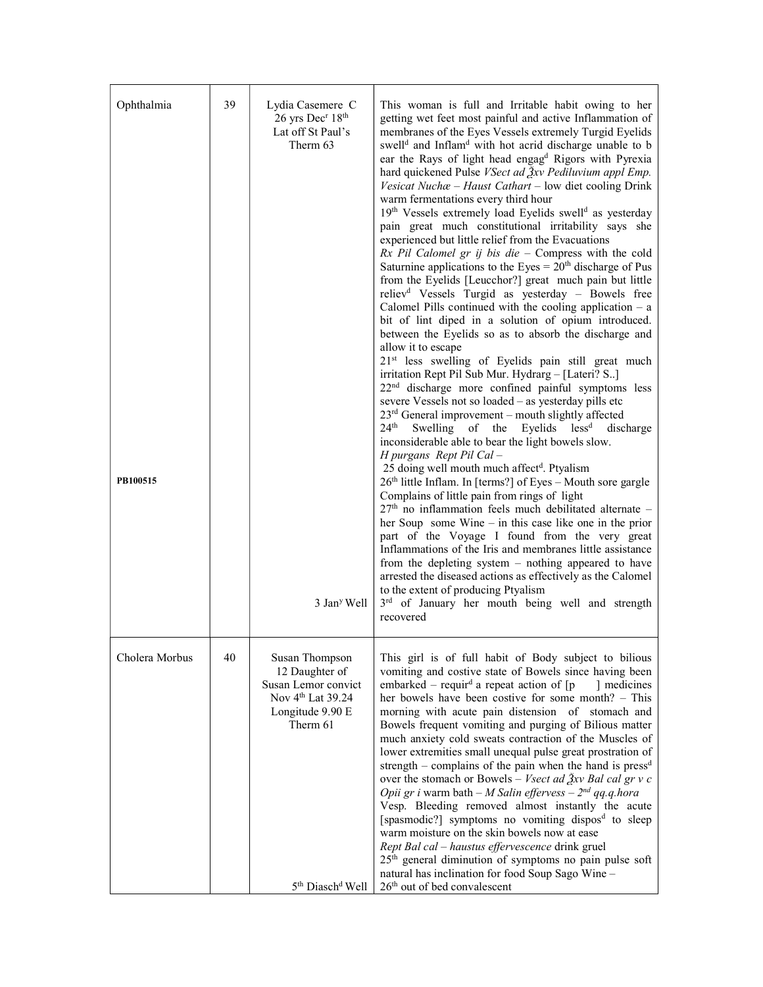| Ophthalmia<br>PB100515 | 39 | Lydia Casemere C<br>26 yrs Dec <sup>r</sup> 18 <sup>th</sup><br>Lat off St Paul's<br>Therm 63<br>3 Jan <sup>y</sup> Well                                             | This woman is full and Irritable habit owing to her<br>getting wet feet most painful and active Inflammation of<br>membranes of the Eyes Vessels extremely Turgid Eyelids<br>swell <sup>d</sup> and Inflam <sup>d</sup> with hot acrid discharge unable to b<br>ear the Rays of light head engag <sup>d</sup> Rigors with Pyrexia<br>hard quickened Pulse VSect ad $\frac{3}{2}$ xv Pediluvium appl Emp.<br>Vesicat Nuchæ - Haust Cathart - low diet cooling Drink<br>warm fermentations every third hour<br>19th Vessels extremely load Eyelids swell <sup>d</sup> as yesterday<br>pain great much constitutional irritability says she<br>experienced but little relief from the Evacuations<br>$Rx$ Pil Calomel gr ij bis die - Compress with the cold<br>Saturnine applications to the Eyes = $20th$ discharge of Pus<br>from the Eyelids [Leucchor?] great much pain but little<br>reliev <sup>d</sup> Vessels Turgid as yesterday - Bowels free<br>Calomel Pills continued with the cooling application $- a$<br>bit of lint diped in a solution of opium introduced.<br>between the Eyelids so as to absorb the discharge and<br>allow it to escape<br>21 <sup>st</sup> less swelling of Eyelids pain still great much<br>irritation Rept Pil Sub Mur. Hydrarg - [Lateri? S]<br>22 <sup>nd</sup> discharge more confined painful symptoms less<br>severe Vessels not so loaded - as yesterday pills etc<br>$23rd$ General improvement – mouth slightly affected<br>$24^{\text{th}}$<br>Swelling of the Eyelids less <sup>d</sup><br>discharge<br>inconsiderable able to bear the light bowels slow.<br>H purgans Rept Pil Cal -<br>25 doing well mouth much affect <sup>d</sup> . Ptyalism<br>26 <sup>th</sup> little Inflam. In [terms?] of Eyes - Mouth sore gargle<br>Complains of little pain from rings of light<br>$27th$ no inflammation feels much debilitated alternate -<br>her Soup some Wine $-$ in this case like one in the prior<br>part of the Voyage I found from the very great<br>Inflammations of the Iris and membranes little assistance<br>from the depleting system $-$ nothing appeared to have<br>arrested the diseased actions as effectively as the Calomel<br>to the extent of producing Ptyalism<br>3rd of January her mouth being well and strength<br>recovered |
|------------------------|----|----------------------------------------------------------------------------------------------------------------------------------------------------------------------|--------------------------------------------------------------------------------------------------------------------------------------------------------------------------------------------------------------------------------------------------------------------------------------------------------------------------------------------------------------------------------------------------------------------------------------------------------------------------------------------------------------------------------------------------------------------------------------------------------------------------------------------------------------------------------------------------------------------------------------------------------------------------------------------------------------------------------------------------------------------------------------------------------------------------------------------------------------------------------------------------------------------------------------------------------------------------------------------------------------------------------------------------------------------------------------------------------------------------------------------------------------------------------------------------------------------------------------------------------------------------------------------------------------------------------------------------------------------------------------------------------------------------------------------------------------------------------------------------------------------------------------------------------------------------------------------------------------------------------------------------------------------------------------------------------------------------------------------------------------------------------------------------------------------------------------------------------------------------------------------------------------------------------------------------------------------------------------------------------------------------------------------------------------------------------------------------------------------------------------------------------------------------------------------------------|
| Cholera Morbus         | 40 | Susan Thompson<br>12 Daughter of<br>Susan Lemor convict<br>Nov 4 <sup>th</sup> Lat 39.24<br>Longitude 9.90 E<br>Therm 61<br>5 <sup>th</sup> Diasch <sup>d</sup> Well | This girl is of full habit of Body subject to bilious<br>vomiting and costive state of Bowels since having been<br>embarked – requir <sup>d</sup> a repeat action of $[p]$<br>medicines<br>her bowels have been costive for some month? - This<br>morning with acute pain distension of stomach and<br>Bowels frequent vomiting and purging of Bilious matter<br>much anxiety cold sweats contraction of the Muscles of<br>lower extremities small unequal pulse great prostration of<br>strength – complains of the pain when the hand is $pressd$<br>over the stomach or Bowels – Vsect ad $\frac{3}{2}$ xv Bal cal gr v c<br>Opii gr i warm bath – M Salin effervess – $2^{nd}$ qq.q.hora<br>Vesp. Bleeding removed almost instantly the acute<br>[spasmodic?] symptoms no vomiting dispos <sup>d</sup> to sleep<br>warm moisture on the skin bowels now at ease<br>Rept Bal cal - haustus effervescence drink gruel<br>25 <sup>th</sup> general diminution of symptoms no pain pulse soft<br>natural has inclination for food Soup Sago Wine -<br>26 <sup>th</sup> out of bed convalescent                                                                                                                                                                                                                                                                                                                                                                                                                                                                                                                                                                                                                                                                                                                                                                                                                                                                                                                                                                                                                                                                                                                                                                                                         |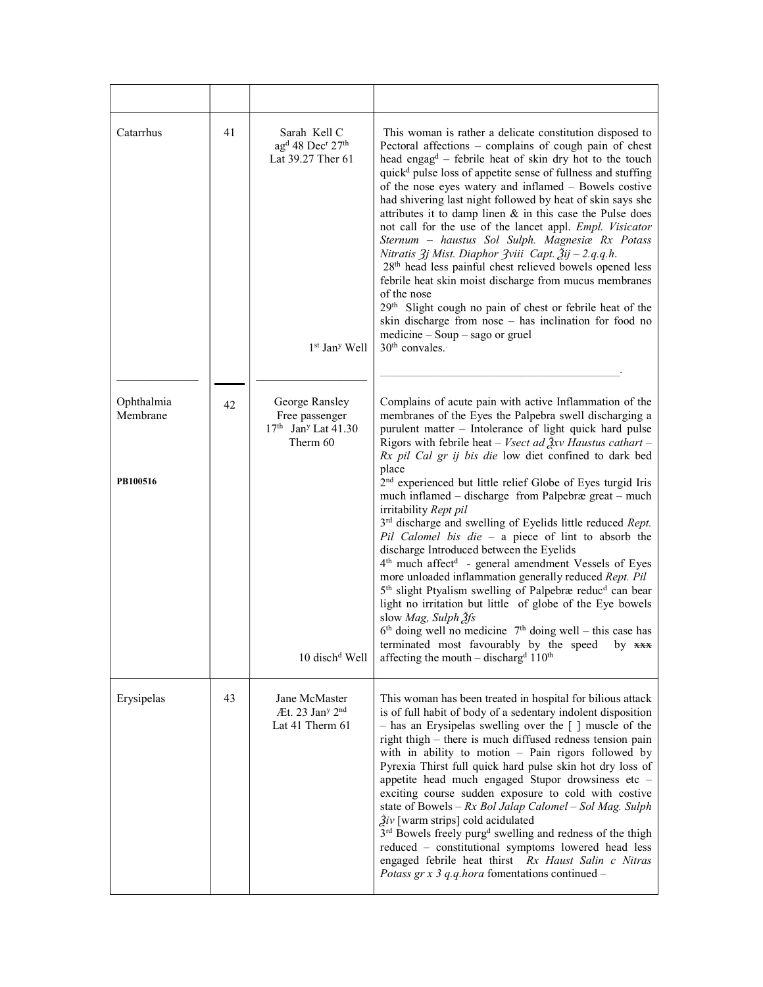| Catarrhus                          | 41 | Sarah Kell C<br>ag <sup>d</sup> 48 Dec <sup>r</sup> 27 <sup>th</sup><br>Lat 39.27 Ther 61<br>$1st$ Jan <sup>y</sup> Well | This woman is rather a delicate constitution disposed to<br>Pectoral affections - complains of cough pain of chest<br>head engag <sup>d</sup> - febrile heat of skin dry hot to the touch<br>quick <sup>d</sup> pulse loss of appetite sense of fullness and stuffing<br>of the nose eyes watery and inflamed - Bowels costive<br>had shivering last night followed by heat of skin says she<br>attributes it to damp linen $\&$ in this case the Pulse does<br>not call for the use of the lancet appl. Empl. Visicator<br>Sternum - haustus Sol Sulph. Magnesiæ Rx Potass<br>Nitratis 3j Mist. Diaphor 3viii Capt. Žij - 2.q.q.h.<br>28 <sup>th</sup> head less painful chest relieved bowels opened less<br>febrile heat skin moist discharge from mucus membranes<br>of the nose<br>29th Slight cough no pain of chest or febrile heat of the<br>skin discharge from nose - has inclination for food no<br>medicine - Soup - sago or gruel<br>$30th$ convales.                                                                                                                                                                                                  |
|------------------------------------|----|--------------------------------------------------------------------------------------------------------------------------|---------------------------------------------------------------------------------------------------------------------------------------------------------------------------------------------------------------------------------------------------------------------------------------------------------------------------------------------------------------------------------------------------------------------------------------------------------------------------------------------------------------------------------------------------------------------------------------------------------------------------------------------------------------------------------------------------------------------------------------------------------------------------------------------------------------------------------------------------------------------------------------------------------------------------------------------------------------------------------------------------------------------------------------------------------------------------------------------------------------------------------------------------------------------|
| Ophthalmia<br>Membrane<br>PB100516 | 42 | George Ransley<br>Free passenger<br>$17th$ Jan <sup>y</sup> Lat 41.30<br>Therm 60<br>10 disch <sup>d</sup> Well          | Complains of acute pain with active Inflammation of the<br>membranes of the Eyes the Palpebra swell discharging a<br>purulent matter - Intolerance of light quick hard pulse<br>Rigors with febrile heat – Vsect ad $\frac{3}{2}xy$ Haustus cathart –<br>Rx pil Cal gr ij bis die low diet confined to dark bed<br>place<br>2 <sup>nd</sup> experienced but little relief Globe of Eyes turgid Iris<br>much inflamed - discharge from Palpebræ great - much<br>irritability Rept pil<br>3rd discharge and swelling of Eyelids little reduced Rept.<br>Pil Calomel bis die $-$ a piece of lint to absorb the<br>discharge Introduced between the Eyelids<br>4 <sup>th</sup> much affect <sup>d</sup> - general amendment Vessels of Eyes<br>more unloaded inflammation generally reduced Rept. Pil<br>5 <sup>th</sup> slight Ptyalism swelling of Palpebræ reduc <sup>d</sup> can bear<br>light no irritation but little of globe of the Eye bowels<br>slow Mag, Sulph $\tilde{f}$ s<br>$6th$ doing well no medicine $7th$ doing well – this case has<br>terminated most favourably by the speed<br>by xxx<br>affecting the mouth - discharg <sup>d</sup> $110^{th}$ |
| Erysipelas                         | 43 | Jane McMaster<br>At. 23 Jan <sup>y</sup> 2 <sup>nd</sup><br>Lat 41 Therm 61                                              | This woman has been treated in hospital for bilious attack<br>is of full habit of body of a sedentary indolent disposition<br>- has an Erysipelas swelling over the [] muscle of the<br>right thigh – there is much diffused redness tension pain<br>with in ability to motion $-$ Pain rigors followed by<br>Pyrexia Thirst full quick hard pulse skin hot dry loss of<br>appetite head much engaged Stupor drowsiness etc -<br>exciting course sudden exposure to cold with costive<br>state of Bowels $-Rx$ Bol Jalap Calomel $-Sol$ Mag. Sulph<br>$\tilde{g}_{iv}$ [warm strips] cold acidulated<br>3 <sup>rd</sup> Bowels freely purg <sup>d</sup> swelling and redness of the thigh<br>reduced - constitutional symptoms lowered head less<br>engaged febrile heat thirst Rx Haust Salin c Nitras<br>Potass gr x 3 q.q.hora fomentations continued –                                                                                                                                                                                                                                                                                                          |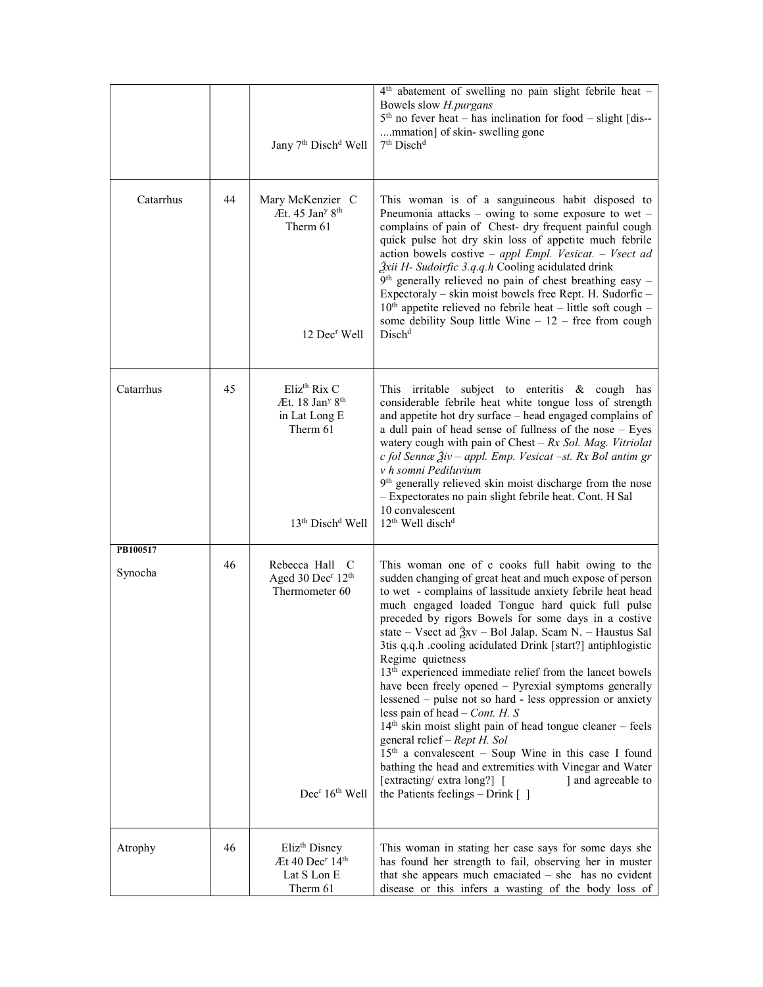|                     |    | Jany 7 <sup>th</sup> Disch <sup>d</sup> Well                                                                                         | 4 <sup>th</sup> abatement of swelling no pain slight febrile heat -<br>Bowels slow H.purgans<br>$5th$ no fever heat – has inclination for food – slight [dis--<br>mmation] of skin-swelling gone<br>7 <sup>th</sup> Disch <sup>d</sup>                                                                                                                                                                                                                                                                                                                                                                                                                                                                                                                                                                                                                                                                                                                                                              |
|---------------------|----|--------------------------------------------------------------------------------------------------------------------------------------|-----------------------------------------------------------------------------------------------------------------------------------------------------------------------------------------------------------------------------------------------------------------------------------------------------------------------------------------------------------------------------------------------------------------------------------------------------------------------------------------------------------------------------------------------------------------------------------------------------------------------------------------------------------------------------------------------------------------------------------------------------------------------------------------------------------------------------------------------------------------------------------------------------------------------------------------------------------------------------------------------------|
| Catarrhus           | 44 | Mary McKenzier C<br>Æt. $45$ Jan <sup>y <math>8th</math></sup><br>Therm 61<br>12 Dec <sup>r</sup> Well                               | This woman is of a sanguineous habit disposed to<br>Pneumonia attacks – owing to some exposure to wet –<br>complains of pain of Chest- dry frequent painful cough<br>quick pulse hot dry skin loss of appetite much febrile<br>action bowels costive - appl Empl. Vesicat. - Vsect ad<br>Žxii H- Sudoirfic 3.q.q.h Cooling acidulated drink<br>$9th$ generally relieved no pain of chest breathing easy -<br>Expectoraly - skin moist bowels free Rept. H. Sudorfic -<br>$10th$ appetite relieved no febrile heat – little soft cough –<br>some debility Soup little Wine $-12$ – free from cough<br>Disch <sup>d</sup>                                                                                                                                                                                                                                                                                                                                                                             |
| Catarrhus           | 45 | Eliz <sup>th</sup> Rix C<br>Æt. $18$ Jan <sup>y</sup> $8th$<br>in Lat Long E<br>Therm 61<br>13 <sup>th</sup> Disch <sup>d</sup> Well | This irritable subject to enteritis $\&$ cough has<br>considerable febrile heat white tongue loss of strength<br>and appetite hot dry surface - head engaged complains of<br>a dull pain of head sense of fullness of the nose - Eyes<br>watery cough with pain of Chest $-Rx$ Sol. Mag. Vitriolat<br>c fol Sennæ Živ - appl. Emp. Vesicat -st. Rx Bol antim gr<br>v h somni Pediluvium<br>9 <sup>th</sup> generally relieved skin moist discharge from the nose<br>- Expectorates no pain slight febrile heat. Cont. H Sal<br>10 convalescent<br>$12th$ Well disch <sup>d</sup>                                                                                                                                                                                                                                                                                                                                                                                                                    |
| PB100517<br>Synocha | 46 | Rebecca Hall C<br>Aged 30 Dec <sup>r</sup> 12 <sup>th</sup><br>Thermometer 60<br>Dec <sup>r</sup> 16 <sup>th</sup> Well              | This woman one of c cooks full habit owing to the<br>sudden changing of great heat and much expose of person<br>to wet - complains of lassitude anxiety febrile heat head<br>much engaged loaded Tongue hard quick full pulse<br>preceded by rigors Bowels for some days in a costive<br>state – Vsect ad $\frac{3}{2}$ xv – Bol Jalap. Scam N. – Haustus Sal<br>3tis q.q.h .cooling acidulated Drink [start?] antiphlogistic<br>Regime quietness<br>13 <sup>th</sup> experienced immediate relief from the lancet bowels<br>have been freely opened - Pyrexial symptoms generally<br>lessened – pulse not so hard - less oppression or anxiety<br>less pain of head $-$ Cont. H. S<br>$14th$ skin moist slight pain of head tongue cleaner – feels<br>general relief – Rept H. Sol<br>$15th$ a convalescent – Soup Wine in this case I found<br>bathing the head and extremities with Vinegar and Water<br>[extracting/extra long?] [<br>and agreeable to<br>the Patients feelings $-$ Drink $[$ ] |
| Atrophy             | 46 | Eliz <sup>th</sup> Disney<br>Æt 40 Dec <sup>r</sup> 14 <sup>th</sup><br>Lat S Lon E<br>Therm 61                                      | This woman in stating her case says for some days she<br>has found her strength to fail, observing her in muster<br>that she appears much emaciated $-$ she has no evident<br>disease or this infers a wasting of the body loss of                                                                                                                                                                                                                                                                                                                                                                                                                                                                                                                                                                                                                                                                                                                                                                  |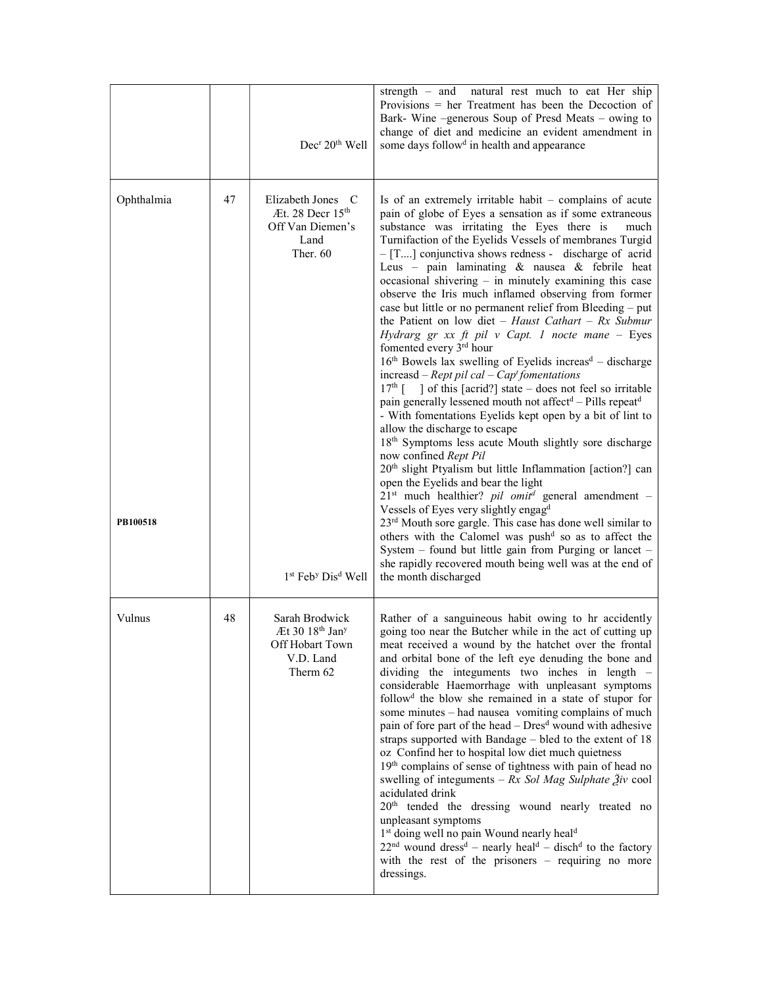|                        |    | Dec <sup>r</sup> 20 <sup>th</sup> Well                                                                | strength – and natural rest much to eat Her ship<br>Provisions = her Treatment has been the Decoction of<br>Bark- Wine -generous Soup of Presd Meats - owing to<br>change of diet and medicine an evident amendment in<br>some days follow <sup>d</sup> in health and appearance                                                                                                                                                                                                                                                                                                                                                                                                                                                                                                                                                                                                                                                                                                                                                                                                                                                                                                                                                                                                                                                                                                                                                                                                                                                                 |
|------------------------|----|-------------------------------------------------------------------------------------------------------|--------------------------------------------------------------------------------------------------------------------------------------------------------------------------------------------------------------------------------------------------------------------------------------------------------------------------------------------------------------------------------------------------------------------------------------------------------------------------------------------------------------------------------------------------------------------------------------------------------------------------------------------------------------------------------------------------------------------------------------------------------------------------------------------------------------------------------------------------------------------------------------------------------------------------------------------------------------------------------------------------------------------------------------------------------------------------------------------------------------------------------------------------------------------------------------------------------------------------------------------------------------------------------------------------------------------------------------------------------------------------------------------------------------------------------------------------------------------------------------------------------------------------------------------------|
| Ophthalmia<br>PB100518 | 47 | Elizabeth Jones C<br>Æt. 28 Decr 15 <sup>th</sup><br>Off Van Diemen's<br>Land<br>Ther. $60$           | Is of an extremely irritable habit – complains of acute<br>pain of globe of Eyes a sensation as if some extraneous<br>substance was irritating the Eyes there is<br>much<br>Turnifaction of the Eyelids Vessels of membranes Turgid<br>- [T] conjunctiva shows redness - discharge of acrid<br>Leus - pain laminating & nausea & febrile heat<br>occasional shivering - in minutely examining this case<br>observe the Iris much inflamed observing from former<br>case but little or no permanent relief from Bleeding - put<br>the Patient on low diet - Haust Cathart - Rx Submur<br>Hydrarg gr xx ft pil v Capt. 1 nocte mane - Eyes<br>fomented every 3 <sup>rd</sup> hour<br>$16th$ Bowels lax swelling of Eyelids increas <sup>d</sup> – discharge<br>increasd – Rept pil cal – Cap <sup>t</sup> fomentations<br>$17th$ [ ] of this [acrid?] state – does not feel so irritable<br>pain generally lessened mouth not affect <sup>d</sup> – Pills repeat <sup>d</sup><br>- With fomentations Eyelids kept open by a bit of lint to<br>allow the discharge to escape<br>18 <sup>th</sup> Symptoms less acute Mouth slightly sore discharge<br>now confined Rept Pil<br>20 <sup>th</sup> slight Ptyalism but little Inflammation [action?] can<br>open the Eyelids and bear the light<br>$21st$ much healthier? <i>pil omit<sup>d</sup></i> general amendment -<br>Vessels of Eyes very slightly engagd<br>$23rd$ Mouth sore gargle. This case has done well similar to<br>others with the Calomel was push <sup>d</sup> so as to affect the |
|                        |    | 1st Feb <sup>y</sup> Dis <sup>d</sup> Well                                                            | System - found but little gain from Purging or lancet -<br>she rapidly recovered mouth being well was at the end of<br>the month discharged                                                                                                                                                                                                                                                                                                                                                                                                                                                                                                                                                                                                                                                                                                                                                                                                                                                                                                                                                                                                                                                                                                                                                                                                                                                                                                                                                                                                      |
| Vulnus                 | 48 | Sarah Brodwick<br>Æt 30 18 <sup>th</sup> Jan <sup>y</sup><br>Off Hobart Town<br>V.D. Land<br>Therm 62 | Rather of a sanguineous habit owing to hr accidently<br>going too near the Butcher while in the act of cutting up<br>meat received a wound by the hatchet over the frontal<br>and orbital bone of the left eye denuding the bone and<br>dividing the integuments two inches in length -<br>considerable Haemorrhage with unpleasant symptoms<br>follow <sup>d</sup> the blow she remained in a state of stupor for<br>some minutes - had nausea vomiting complains of much<br>pain of fore part of the head – Dres <sup>d</sup> wound with adhesive<br>straps supported with Bandage - bled to the extent of 18<br>oz Confind her to hospital low diet much quietness<br>19 <sup>th</sup> complains of sense of tightness with pain of head no<br>swelling of integuments - $Rx$ Sol Mag Sulphate $\tilde{Z}$ iv cool<br>acidulated drink<br>20 <sup>th</sup> tended the dressing wound nearly treated no<br>unpleasant symptoms<br>1 <sup>st</sup> doing well no pain Wound nearly heal <sup>d</sup><br>$22nd$ wound dress <sup>d</sup> – nearly heal <sup>d</sup> – disch <sup>d</sup> to the factory<br>with the rest of the prisoners $-$ requiring no more<br>dressings.                                                                                                                                                                                                                                                                                                                                                                    |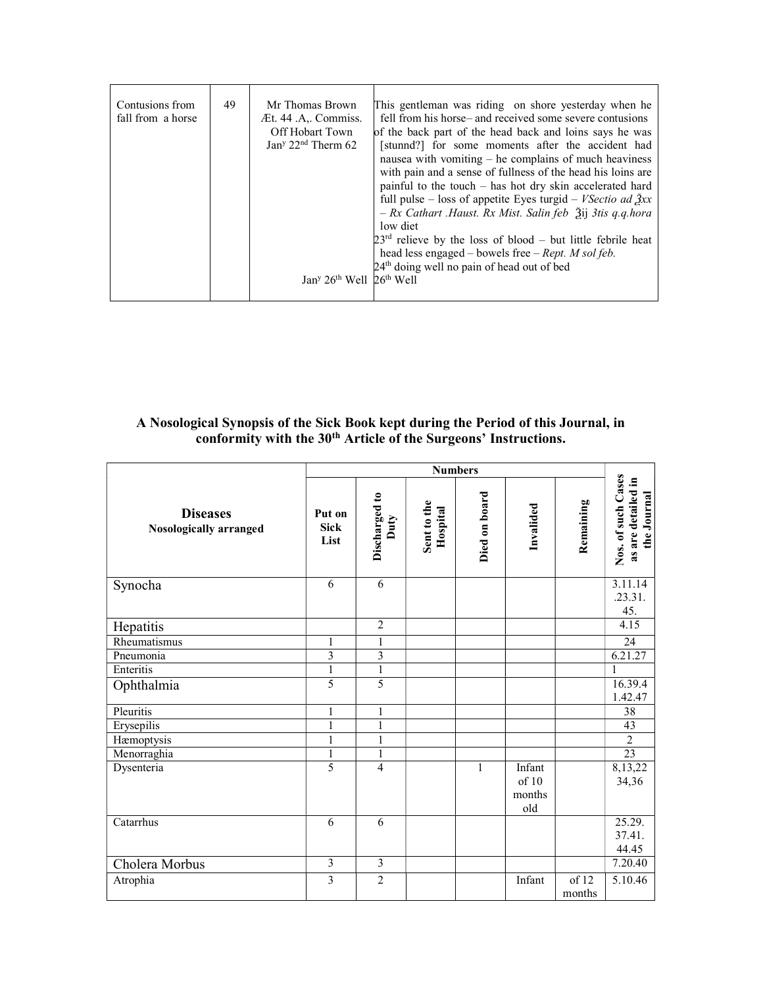| Contusions from<br>fall from a horse | 49 | Mr Thomas Brown<br>Æt. 44 .A., Commiss.<br>Off Hobart Town<br>Jan <sup>y</sup> $22nd$ Therm 62<br>$Jany 26th$ Well $26th$ Well | This gentleman was riding on shore yesterday when he<br>fell from his horse– and received some severe contusions<br>of the back part of the head back and loins says he was<br>[stunnd?] for some moments after the accident had<br>nausea with vomiting $-$ he complains of much heaviness<br>with pain and a sense of fullness of the head his loins are<br>painful to the touch $-$ has hot dry skin accelerated hard<br>full pulse – loss of appetite Eyes turgid – <i>VSectio ad</i> $\beta xx$<br>- Rx Cathart .Haust. Rx Mist. Salin feb 3ij 3tis q.q.hora<br>low diet<br>$23rd$ relieve by the loss of blood – but little febrile heat<br>head less engaged – bowels free – Rept. $M$ sol feb.<br>24 <sup>th</sup> doing well no pain of head out of bed |
|--------------------------------------|----|--------------------------------------------------------------------------------------------------------------------------------|------------------------------------------------------------------------------------------------------------------------------------------------------------------------------------------------------------------------------------------------------------------------------------------------------------------------------------------------------------------------------------------------------------------------------------------------------------------------------------------------------------------------------------------------------------------------------------------------------------------------------------------------------------------------------------------------------------------------------------------------------------------|
|--------------------------------------|----|--------------------------------------------------------------------------------------------------------------------------------|------------------------------------------------------------------------------------------------------------------------------------------------------------------------------------------------------------------------------------------------------------------------------------------------------------------------------------------------------------------------------------------------------------------------------------------------------------------------------------------------------------------------------------------------------------------------------------------------------------------------------------------------------------------------------------------------------------------------------------------------------------------|

### A Nosological Synopsis of the Sick Book kept during the Period of this Journal, in conformity with the 30<sup>th</sup> Article of the Surgeons' Instructions.

|                                           | <b>Numbers</b>                |                       |                         |               |                                  |                 |                                                         |
|-------------------------------------------|-------------------------------|-----------------------|-------------------------|---------------|----------------------------------|-----------------|---------------------------------------------------------|
| <b>Diseases</b><br>Nosologically arranged | Put on<br><b>Sick</b><br>List | Discharged to<br>Duty | Sent to the<br>Hospital | Died on board | Invalided                        | Remaining       | Nos. of such Cases<br>as are detailed in<br>the Journal |
| Synocha                                   | 6                             | 6                     |                         |               |                                  |                 | 3.11.14<br>.23.31.<br>45.                               |
| Hepatitis                                 |                               | $\overline{2}$        |                         |               |                                  |                 | 4.15                                                    |
| Rheumatismus                              | 1                             | $\mathbf{1}$          |                         |               |                                  |                 | 24                                                      |
| Pneumonia                                 | $\overline{3}$                | $\overline{3}$        |                         |               |                                  |                 | 6.21.27                                                 |
| Enteritis                                 | 1                             | $\mathbf{1}$          |                         |               |                                  |                 | 1                                                       |
| Ophthalmia                                | 5                             | $\overline{5}$        |                         |               |                                  |                 | 16.39.4<br>1.42.47                                      |
| Pleuritis                                 | 1                             | 1                     |                         |               |                                  |                 | 38                                                      |
| Erysepilis                                | 1                             | 1                     |                         |               |                                  |                 | 43                                                      |
| Hæmoptysis                                | $\mathbf{1}$                  | $\mathbf{1}$          |                         |               |                                  |                 | $\overline{2}$                                          |
| Menorraghia                               | 1                             | $\mathbf{1}$          |                         |               |                                  |                 | 23                                                      |
| Dysenteria                                | 5                             | $\overline{4}$        |                         | $\mathbf{1}$  | Infant<br>of 10<br>months<br>old |                 | 8,13,22<br>34,36                                        |
| Catarrhus                                 | 6                             | 6                     |                         |               |                                  |                 | 25.29.<br>37.41.<br>44.45                               |
| Cholera Morbus                            | 3                             | $\overline{3}$        |                         |               |                                  |                 | 7.20.40                                                 |
| Atrophia                                  | $\overline{3}$                | $\overline{2}$        |                         |               | Infant                           | of 12<br>months | 5.10.46                                                 |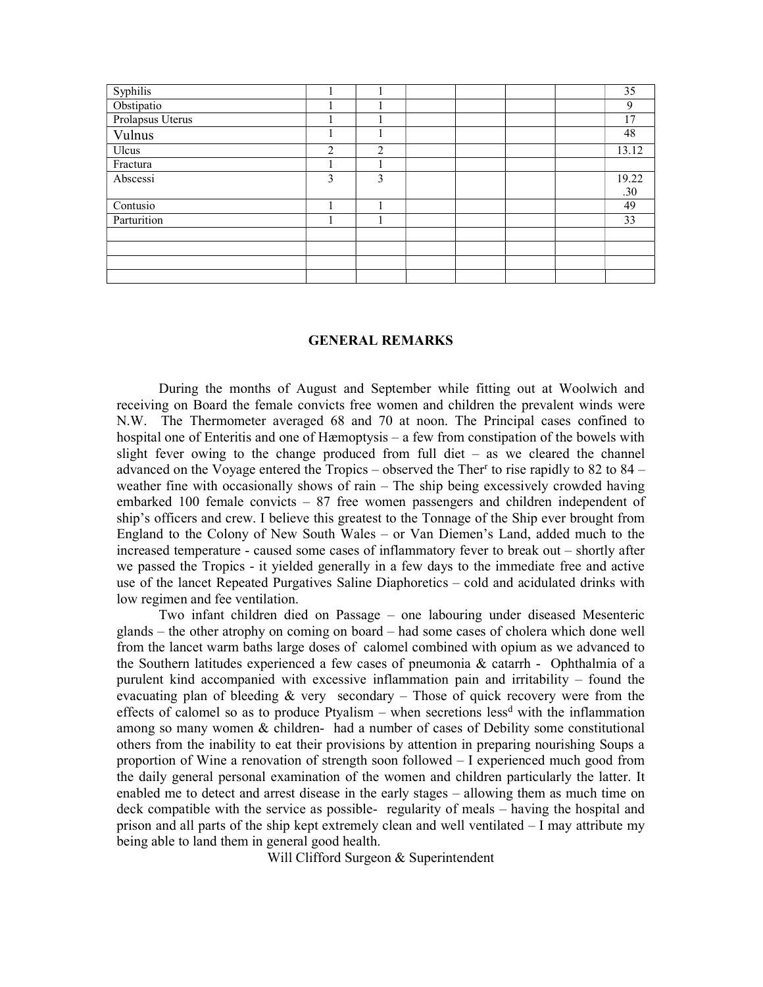| Syphilis         |   |                |  |  | 35    |
|------------------|---|----------------|--|--|-------|
| Obstipatio       |   |                |  |  | 9     |
| Prolapsus Uterus |   |                |  |  | 17    |
| Vulnus           |   |                |  |  | 48    |
| Ulcus            | 2 | $\overline{2}$ |  |  | 13.12 |
| Fractura         |   |                |  |  |       |
| Abscessi         | 3 | 3              |  |  | 19.22 |
|                  |   |                |  |  | .30   |
| Contusio         | 1 |                |  |  | 49    |
| Parturition      |   |                |  |  | 33    |
|                  |   |                |  |  |       |
|                  |   |                |  |  |       |
|                  |   |                |  |  |       |
|                  |   |                |  |  |       |

#### GENERAL REMARKS

 During the months of August and September while fitting out at Woolwich and receiving on Board the female convicts free women and children the prevalent winds were N.W. The Thermometer averaged 68 and 70 at noon. The Principal cases confined to hospital one of Enteritis and one of Hæmoptysis – a few from constipation of the bowels with slight fever owing to the change produced from full diet – as we cleared the channel advanced on the Voyage entered the Tropics – observed the Ther<sup>r</sup> to rise rapidly to  $82$  to  $84$  – weather fine with occasionally shows of rain – The ship being excessively crowded having embarked 100 female convicts – 87 free women passengers and children independent of ship's officers and crew. I believe this greatest to the Tonnage of the Ship ever brought from England to the Colony of New South Wales – or Van Diemen's Land, added much to the increased temperature - caused some cases of inflammatory fever to break out – shortly after we passed the Tropics - it yielded generally in a few days to the immediate free and active use of the lancet Repeated Purgatives Saline Diaphoretics – cold and acidulated drinks with low regimen and fee ventilation.

 Two infant children died on Passage – one labouring under diseased Mesenteric glands – the other atrophy on coming on board – had some cases of cholera which done well from the lancet warm baths large doses of calomel combined with opium as we advanced to the Southern latitudes experienced a few cases of pneumonia & catarrh - Ophthalmia of a purulent kind accompanied with excessive inflammation pain and irritability – found the evacuating plan of bleeding  $&$  very secondary – Those of quick recovery were from the effects of calomel so as to produce Ptyalism – when secretions less<sup>d</sup> with the inflammation among so many women & children- had a number of cases of Debility some constitutional others from the inability to eat their provisions by attention in preparing nourishing Soups a proportion of Wine a renovation of strength soon followed – I experienced much good from the daily general personal examination of the women and children particularly the latter. It enabled me to detect and arrest disease in the early stages – allowing them as much time on deck compatible with the service as possible- regularity of meals – having the hospital and prison and all parts of the ship kept extremely clean and well ventilated – I may attribute my being able to land them in general good health.

Will Clifford Surgeon & Superintendent